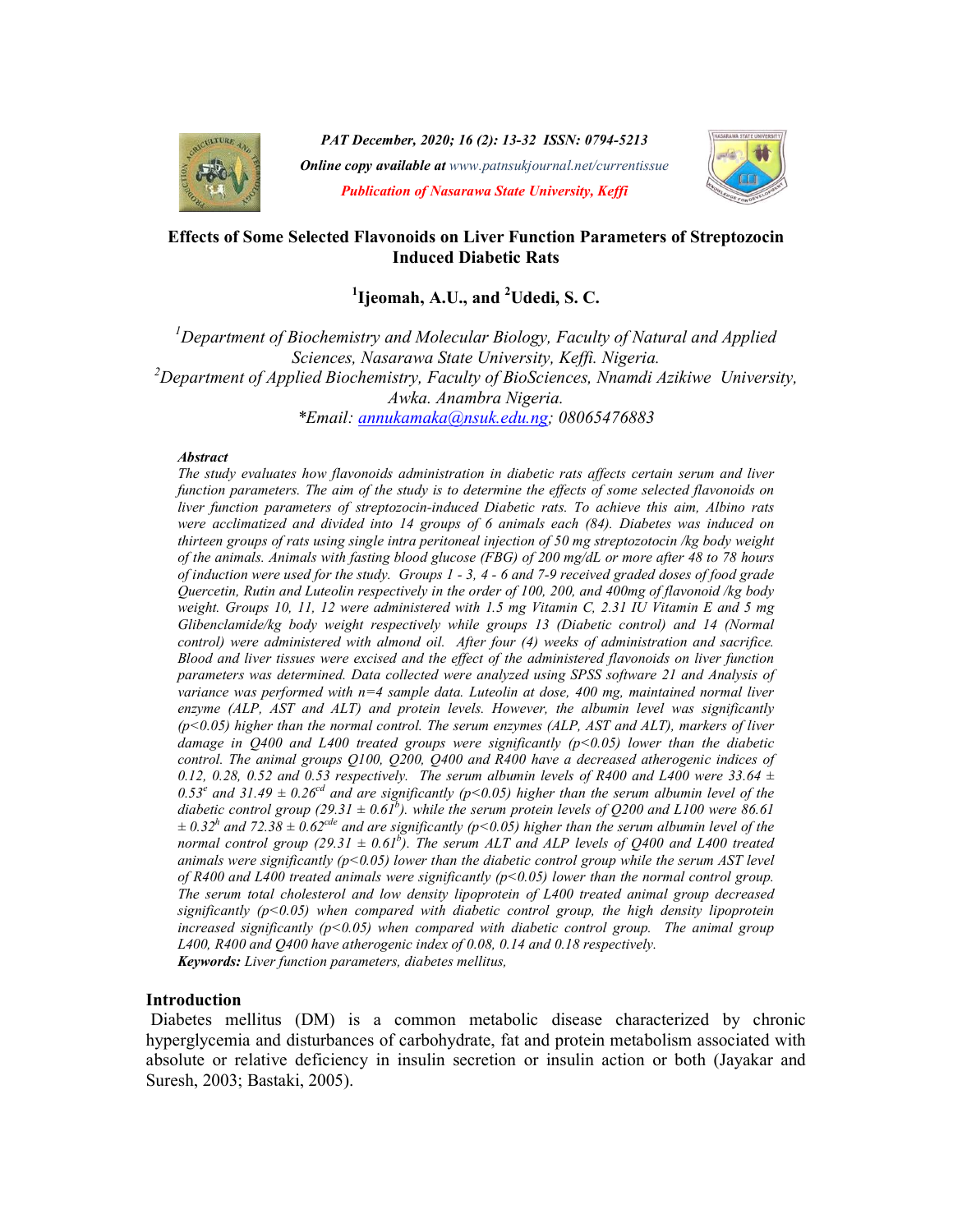

PAT December, 2020; 16 (2): 13-32 ISSN: 0794-5213 **Online copy available at** www.patnsukjournal.net/currentissue Publication of Nasarawa State University, Keffi



### Effects of Some Selected Flavonoids on Liver Function Parameters of Streptozocin Induced Diabetic Rats

# $^1$ Ijeomah, A.U., and  $^2$ Udedi, S. C.

 $1$ Department of Biochemistry and Molecular Biology, Faculty of Natural and Applied Sciences, Nasarawa State University, Keffi. Nigeria. <sup>2</sup>Department of Applied Biochemistry, Faculty of BioSciences, Nnamdi Azikiwe University, Awka. Anambra Nigeria. \*Email: annukamaka@nsuk.edu.ng; 08065476883

#### **Abstract**

The study evaluates how flavonoids administration in diabetic rats affects certain serum and liver function parameters. The aim of the study is to determine the effects of some selected flavonoids on liver function parameters of streptozocin-induced Diabetic rats. To achieve this aim, Albino rats were acclimatized and divided into 14 groups of 6 animals each (84). Diabetes was induced on thirteen groups of rats using single intra peritoneal injection of 50 mg streptozotocin /kg body weight of the animals. Animals with fasting blood glucose (FBG) of 200 mg/dL or more after 48 to 78 hours of induction were used for the study. Groups 1 - 3, 4 - 6 and 7-9 received graded doses of food grade Quercetin, Rutin and Luteolin respectively in the order of 100, 200, and 400mg of flavonoid /kg body weight. Groups 10, 11, 12 were administered with 1.5 mg Vitamin C, 2.31 IU Vitamin E and 5 mg Glibenclamide/kg body weight respectively while groups 13 (Diabetic control) and 14 (Normal control) were administered with almond oil. After four (4) weeks of administration and sacrifice. Blood and liver tissues were excised and the effect of the administered flavonoids on liver function parameters was determined. Data collected were analyzed using SPSS software 21 and Analysis of variance was performed with n=4 sample data. Luteolin at dose, 400 mg, maintained normal liver enzyme (ALP, AST and ALT) and protein levels. However, the albumin level was significantly  $(p<0.05)$  higher than the normal control. The serum enzymes (ALP, AST and ALT), markers of liver damage in Q400 and L400 treated groups were significantly  $(p<0.05)$  lower than the diabetic control. The animal groups Q100, Q200, Q400 and R400 have a decreased atherogenic indices of 0.12, 0.28, 0.52 and 0.53 respectively. The serum albumin levels of R400 and L400 were 33.64  $\pm$ 0.53<sup>e</sup> and 31.49  $\pm$  0.26<sup>cd</sup> and are significantly (p<0.05) higher than the serum albumin level of the diabetic control group (29.31  $\pm$  0.61<sup>b</sup>). while the serum protein levels of Q200 and L100 were 86.61  $\pm$  0.32<sup>h</sup> and 72.38  $\pm$  0.62<sup>cde</sup> and are significantly (p<0.05) higher than the serum albumin level of the normal control group (29.31  $\pm$  0.61<sup>b</sup>). The serum ALT and ALP levels of Q400 and L400 treated animals were significantly  $(p<0.05)$  lower than the diabetic control group while the serum AST level of R400 and L400 treated animals were significantly ( $p$ <0.05) lower than the normal control group. The serum total cholesterol and low density lipoprotein of L400 treated animal group decreased significantly ( $p$ <0.05) when compared with diabetic control group, the high density lipoprotein increased significantly  $(p<0.05)$  when compared with diabetic control group. The animal group L400, R400 and Q400 have atherogenic index of 0.08, 0.14 and 0.18 respectively. Keywords: Liver function parameters, diabetes mellitus,

#### Introduction

 Diabetes mellitus (DM) is a common metabolic disease characterized by chronic hyperglycemia and disturbances of carbohydrate, fat and protein metabolism associated with absolute or relative deficiency in insulin secretion or insulin action or both (Jayakar and Suresh, 2003; Bastaki, 2005).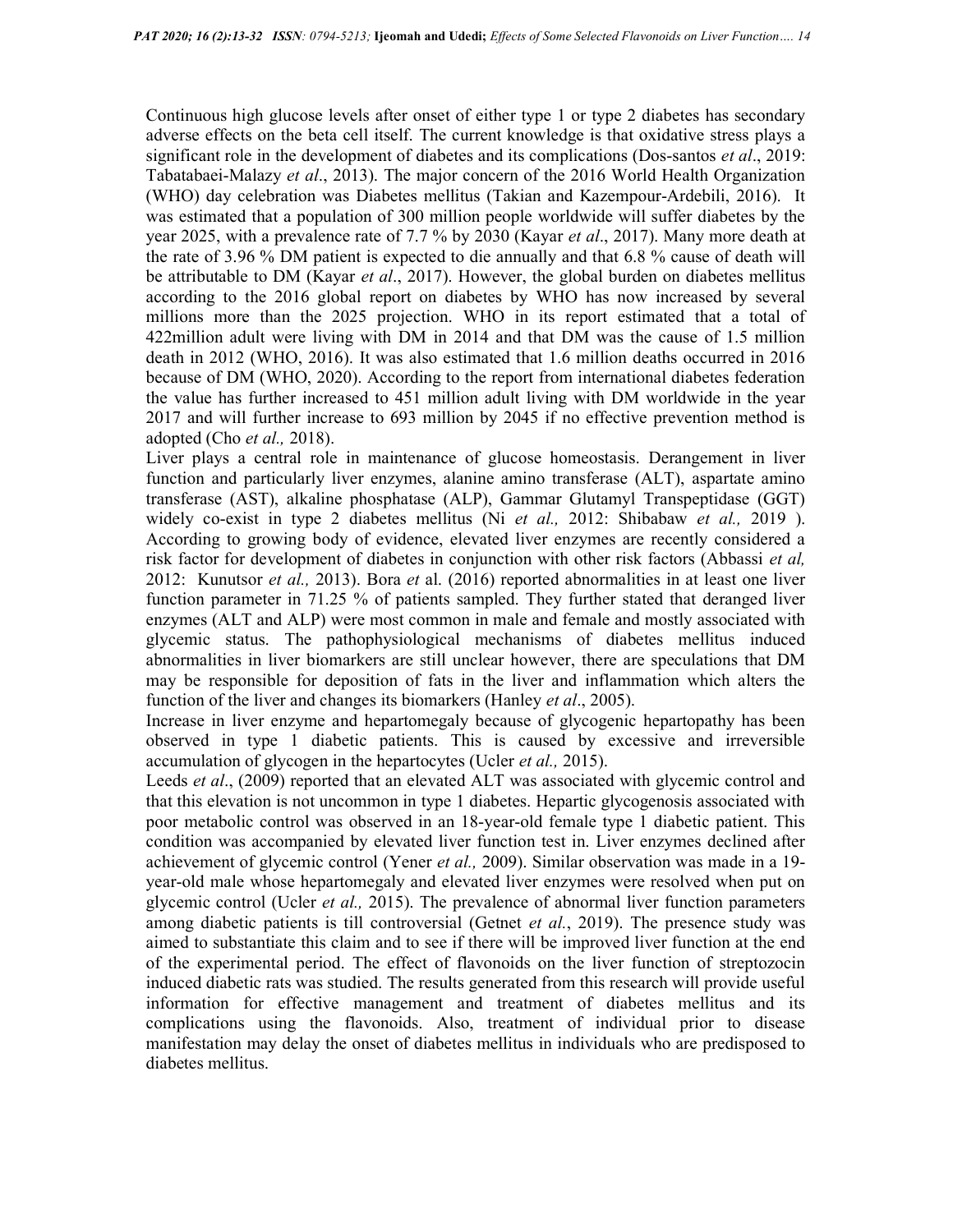Continuous high glucose levels after onset of either type 1 or type 2 diabetes has secondary adverse effects on the beta cell itself. The current knowledge is that oxidative stress plays a significant role in the development of diabetes and its complications (Dos-santos *et al.*, 2019: Tabatabaei-Malazy et al., 2013). The major concern of the 2016 World Health Organization (WHO) day celebration was Diabetes mellitus (Takian and Kazempour-Ardebili, 2016). It was estimated that a population of 300 million people worldwide will suffer diabetes by the year 2025, with a prevalence rate of 7.7 % by 2030 (Kayar et al., 2017). Many more death at the rate of 3.96 % DM patient is expected to die annually and that 6.8 % cause of death will be attributable to DM (Kayar et al., 2017). However, the global burden on diabetes mellitus according to the 2016 global report on diabetes by WHO has now increased by several millions more than the 2025 projection. WHO in its report estimated that a total of 422million adult were living with DM in 2014 and that DM was the cause of 1.5 million death in 2012 (WHO, 2016). It was also estimated that 1.6 million deaths occurred in 2016 because of DM (WHO, 2020). According to the report from international diabetes federation the value has further increased to 451 million adult living with DM worldwide in the year 2017 and will further increase to 693 million by 2045 if no effective prevention method is adopted (Cho et al., 2018).

Liver plays a central role in maintenance of glucose homeostasis. Derangement in liver function and particularly liver enzymes, alanine amino transferase (ALT), aspartate amino transferase (AST), alkaline phosphatase (ALP), Gammar Glutamyl Transpeptidase (GGT) widely co-exist in type 2 diabetes mellitus (Ni et al., 2012: Shibabaw et al., 2019). According to growing body of evidence, elevated liver enzymes are recently considered a risk factor for development of diabetes in conjunction with other risk factors (Abbassi et al, 2012: Kunutsor *et al.*, 2013). Bora *et* al. (2016) reported abnormalities in at least one liver function parameter in 71.25 % of patients sampled. They further stated that deranged liver enzymes (ALT and ALP) were most common in male and female and mostly associated with glycemic status. The pathophysiological mechanisms of diabetes mellitus induced abnormalities in liver biomarkers are still unclear however, there are speculations that DM may be responsible for deposition of fats in the liver and inflammation which alters the function of the liver and changes its biomarkers (Hanley *et al.*, 2005).

Increase in liver enzyme and hepartomegaly because of glycogenic hepartopathy has been observed in type 1 diabetic patients. This is caused by excessive and irreversible accumulation of glycogen in the hepartocytes (Ucler et al., 2015).

Leeds *et al.*, (2009) reported that an elevated ALT was associated with glycemic control and that this elevation is not uncommon in type 1 diabetes. Hepartic glycogenosis associated with poor metabolic control was observed in an 18-year-old female type 1 diabetic patient. This condition was accompanied by elevated liver function test in. Liver enzymes declined after achievement of glycemic control (Yener *et al.*, 2009). Similar observation was made in a 19year-old male whose hepartomegaly and elevated liver enzymes were resolved when put on glycemic control (Ucler *et al.*, 2015). The prevalence of abnormal liver function parameters among diabetic patients is till controversial (Getnet *et al.*, 2019). The presence study was aimed to substantiate this claim and to see if there will be improved liver function at the end of the experimental period. The effect of flavonoids on the liver function of streptozocin induced diabetic rats was studied. The results generated from this research will provide useful information for effective management and treatment of diabetes mellitus and its complications using the flavonoids. Also, treatment of individual prior to disease manifestation may delay the onset of diabetes mellitus in individuals who are predisposed to diabetes mellitus.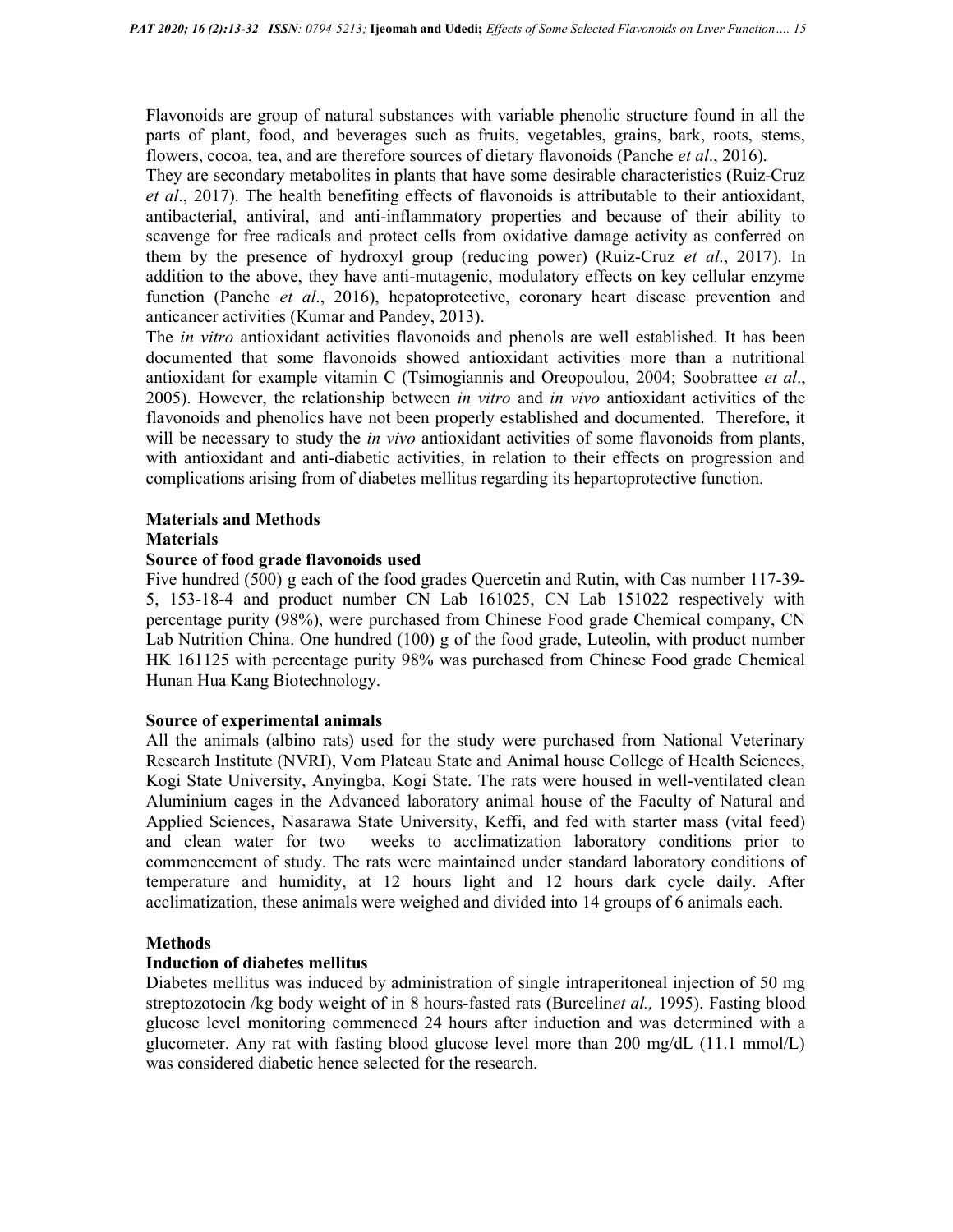Flavonoids are group of natural substances with variable phenolic structure found in all the parts of plant, food, and beverages such as fruits, vegetables, grains, bark, roots, stems, flowers, cocoa, tea, and are therefore sources of dietary flavonoids (Panche *et al.*, 2016).

They are secondary metabolites in plants that have some desirable characteristics (Ruiz-Cruz et al., 2017). The health benefiting effects of flavonoids is attributable to their antioxidant, antibacterial, antiviral, and anti-inflammatory properties and because of their ability to scavenge for free radicals and protect cells from oxidative damage activity as conferred on them by the presence of hydroxyl group (reducing power) (Ruiz-Cruz et al., 2017). In addition to the above, they have anti-mutagenic, modulatory effects on key cellular enzyme function (Panche *et al.*, 2016), hepatoprotective, coronary heart disease prevention and anticancer activities (Kumar and Pandey, 2013).

The *in vitro* antioxidant activities flavonoids and phenols are well established. It has been documented that some flavonoids showed antioxidant activities more than a nutritional antioxidant for example vitamin C (Tsimogiannis and Oreopoulou, 2004; Soobrattee et al., 2005). However, the relationship between in vitro and in vivo antioxidant activities of the flavonoids and phenolics have not been properly established and documented. Therefore, it will be necessary to study the *in vivo* antioxidant activities of some flavonoids from plants, with antioxidant and anti-diabetic activities, in relation to their effects on progression and complications arising from of diabetes mellitus regarding its hepartoprotective function.

## Materials and Methods

#### **Materials**

## Source of food grade flavonoids used

Five hundred (500) g each of the food grades Quercetin and Rutin, with Cas number 117-39- 5, 153-18-4 and product number CN Lab 161025, CN Lab 151022 respectively with percentage purity (98%), were purchased from Chinese Food grade Chemical company, CN Lab Nutrition China. One hundred (100) g of the food grade, Luteolin, with product number HK 161125 with percentage purity 98% was purchased from Chinese Food grade Chemical Hunan Hua Kang Biotechnology.

#### Source of experimental animals

All the animals (albino rats) used for the study were purchased from National Veterinary Research Institute (NVRI), Vom Plateau State and Animal house College of Health Sciences, Kogi State University, Anyingba, Kogi State. The rats were housed in well-ventilated clean Aluminium cages in the Advanced laboratory animal house of the Faculty of Natural and Applied Sciences, Nasarawa State University, Keffi, and fed with starter mass (vital feed) and clean water for two weeks to acclimatization laboratory conditions prior to commencement of study. The rats were maintained under standard laboratory conditions of temperature and humidity, at 12 hours light and 12 hours dark cycle daily. After acclimatization, these animals were weighed and divided into 14 groups of 6 animals each.

#### Methods

## Induction of diabetes mellitus

Diabetes mellitus was induced by administration of single intraperitoneal injection of 50 mg streptozotocin /kg body weight of in 8 hours-fasted rats (Burcelinet al., 1995). Fasting blood glucose level monitoring commenced 24 hours after induction and was determined with a glucometer. Any rat with fasting blood glucose level more than 200 mg/dL (11.1 mmol/L) was considered diabetic hence selected for the research.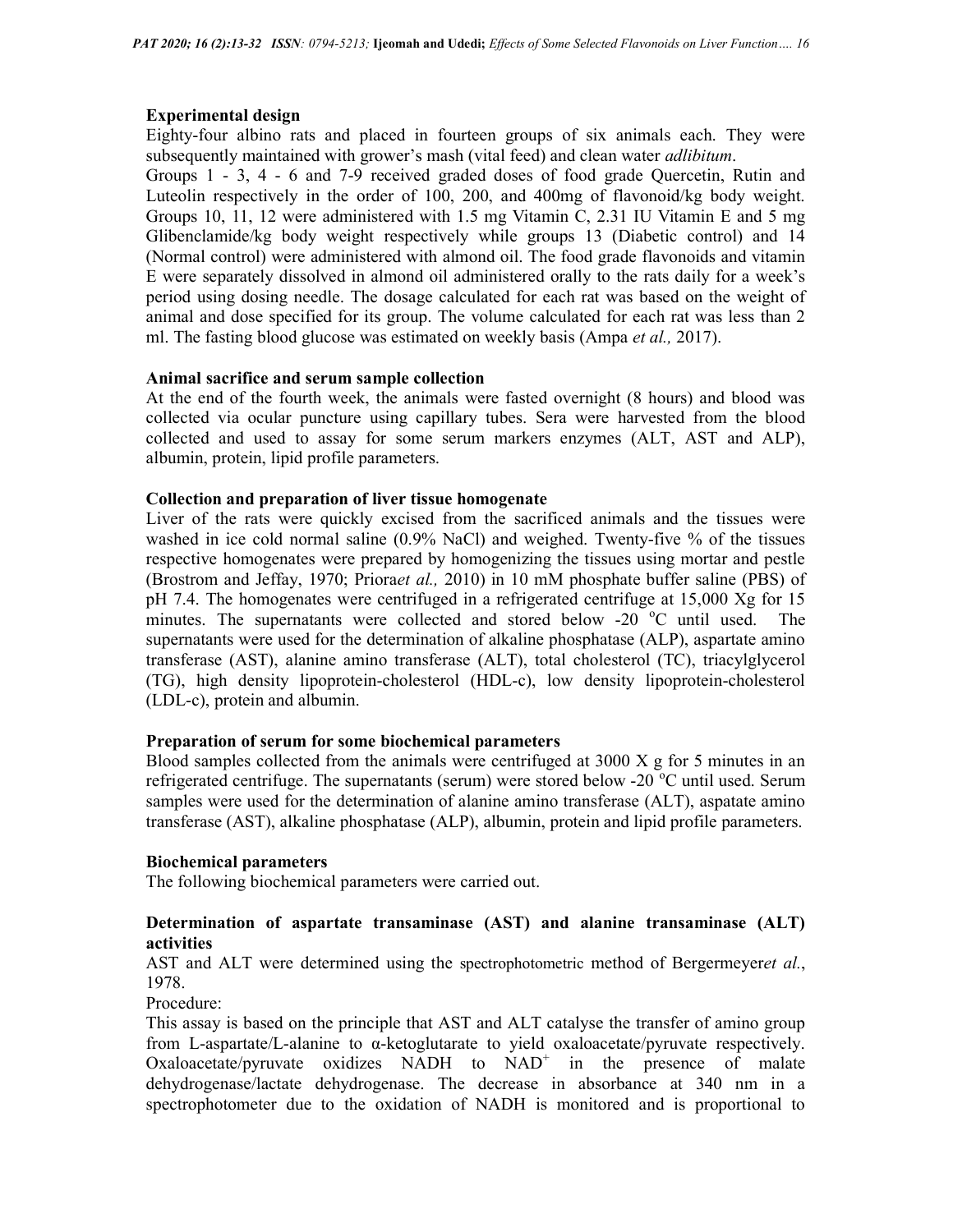## Experimental design

Eighty-four albino rats and placed in fourteen groups of six animals each. They were subsequently maintained with grower's mash (vital feed) and clean water *adlibitum*.

Groups 1 - 3, 4 - 6 and 7-9 received graded doses of food grade Quercetin, Rutin and Luteolin respectively in the order of 100, 200, and 400mg of flavonoid/kg body weight. Groups 10, 11, 12 were administered with 1.5 mg Vitamin C, 2.31 IU Vitamin E and 5 mg Glibenclamide/kg body weight respectively while groups 13 (Diabetic control) and 14 (Normal control) were administered with almond oil. The food grade flavonoids and vitamin E were separately dissolved in almond oil administered orally to the rats daily for a week's period using dosing needle. The dosage calculated for each rat was based on the weight of animal and dose specified for its group. The volume calculated for each rat was less than 2 ml. The fasting blood glucose was estimated on weekly basis (Ampa et al., 2017).

#### Animal sacrifice and serum sample collection

At the end of the fourth week, the animals were fasted overnight (8 hours) and blood was collected via ocular puncture using capillary tubes. Sera were harvested from the blood collected and used to assay for some serum markers enzymes (ALT, AST and ALP), albumin, protein, lipid profile parameters.

#### Collection and preparation of liver tissue homogenate

Liver of the rats were quickly excised from the sacrificed animals and the tissues were washed in ice cold normal saline (0.9% NaCl) and weighed. Twenty-five % of the tissues respective homogenates were prepared by homogenizing the tissues using mortar and pestle (Brostrom and Jeffay, 1970; Prioraet al., 2010) in 10 mM phosphate buffer saline (PBS) of pH 7.4. The homogenates were centrifuged in a refrigerated centrifuge at 15,000 Xg for 15 minutes. The supernatants were collected and stored below -20  $^{\circ}$ C until used. The supernatants were used for the determination of alkaline phosphatase (ALP), aspartate amino transferase (AST), alanine amino transferase (ALT), total cholesterol (TC), triacylglycerol (TG), high density lipoprotein-cholesterol (HDL-c), low density lipoprotein-cholesterol (LDL-c), protein and albumin.

#### Preparation of serum for some biochemical parameters

Blood samples collected from the animals were centrifuged at  $3000 \text{ X}$  g for 5 minutes in an refrigerated centrifuge. The supernatants (serum) were stored below -20  $^{\circ}$ C until used. Serum samples were used for the determination of alanine amino transferase (ALT), aspatate amino transferase (AST), alkaline phosphatase (ALP), albumin, protein and lipid profile parameters.

#### Biochemical parameters

The following biochemical parameters were carried out.

## Determination of aspartate transaminase (AST) and alanine transaminase (ALT) activities

AST and ALT were determined using the spectrophotometric method of Bergermeyeret al., 1978.

Procedure:

This assay is based on the principle that AST and ALT catalyse the transfer of amino group from L-aspartate/L-alanine to α-ketoglutarate to yield oxaloacetate/pyruvate respectively. Oxaloacetate/pyruvate oxidizes  $NADH$  to  $NAD<sup>+</sup>$  in the presence of malate dehydrogenase/lactate dehydrogenase. The decrease in absorbance at 340 nm in a spectrophotometer due to the oxidation of NADH is monitored and is proportional to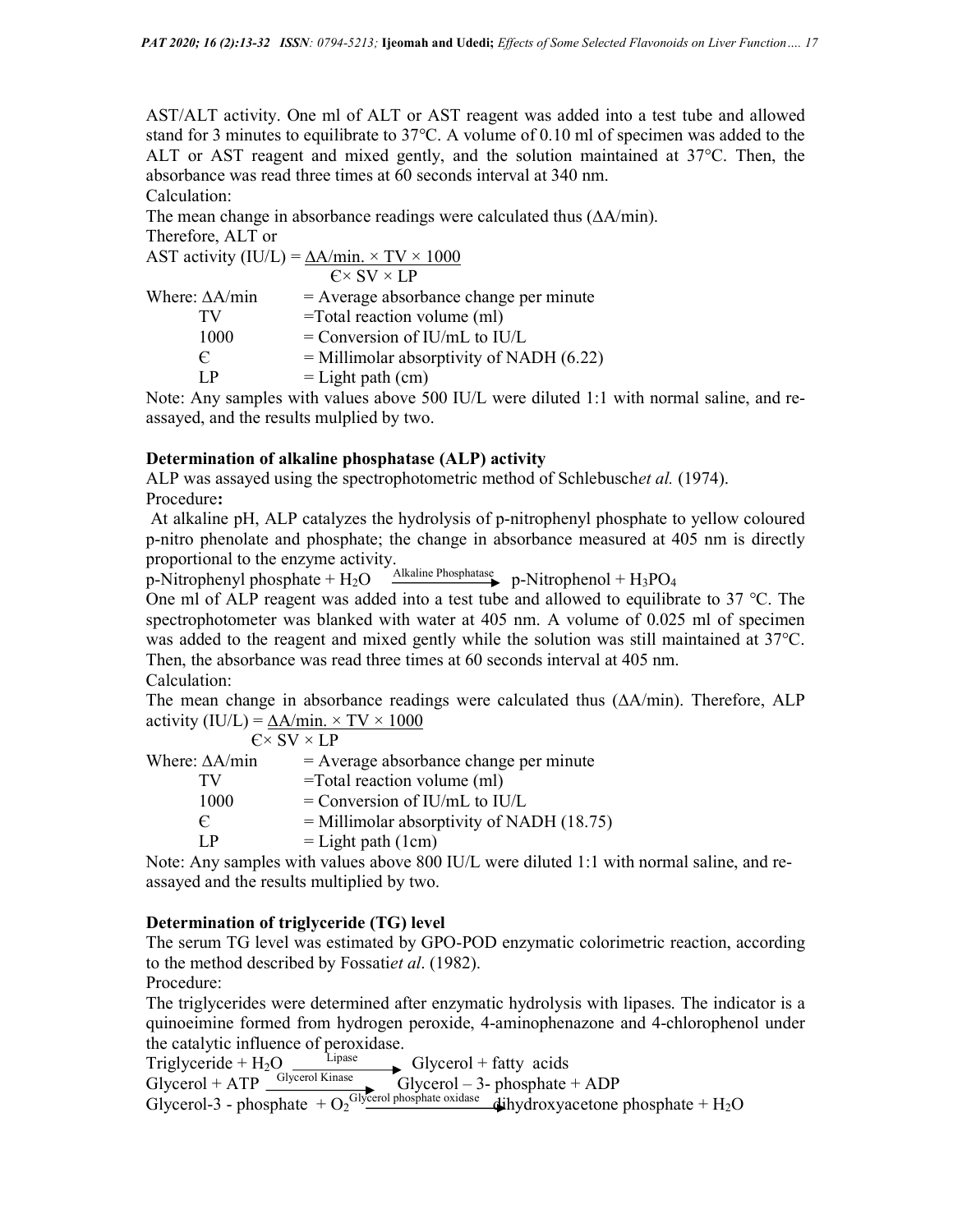AST/ALT activity. One ml of ALT or AST reagent was added into a test tube and allowed stand for 3 minutes to equilibrate to 37°C. A volume of 0.10 ml of specimen was added to the ALT or AST reagent and mixed gently, and the solution maintained at 37°C. Then, the absorbance was read three times at 60 seconds interval at 340 nm.

Calculation:

The mean change in absorbance readings were calculated thus (∆A/min).

Therefore, ALT or  $\triangle$ ST activity (IU/L) =  $\triangle$  A/min. × TV × 1000

| AST activity $(10/L) = \Delta A/\text{min}$ . $\wedge$ 1 v $\wedge$ 1000 |                                            |  |
|--------------------------------------------------------------------------|--------------------------------------------|--|
|                                                                          | $C \times SV \times LP$                    |  |
| Where: $\Delta A/min$                                                    | $=$ Average absorbance change per minute   |  |
| TV                                                                       | $=$ Total reaction volume (ml)             |  |
| 1000                                                                     | $=$ Conversion of IU/mL to IU/L            |  |
| $\epsilon$                                                               | $=$ Millimolar absorptivity of NADH (6.22) |  |
| IР                                                                       | $=$ Light path (cm)                        |  |

Note: Any samples with values above 500 IU/L were diluted 1:1 with normal saline, and reassayed, and the results mulplied by two.

## Determination of alkaline phosphatase (ALP) activity

ALP was assayed using the spectrophotometric method of Schlebuschet al. (1974). Procedure:

 At alkaline pH, ALP catalyzes the hydrolysis of p-nitrophenyl phosphate to yellow coloured p-nitro phenolate and phosphate; the change in absorbance measured at 405 nm is directly proportional to the enzyme activity.

p-Nitrophenyl phosphate +  $H_2O \xrightarrow{\text{Alkaline Phosphatase}} p\text{-Nitrophenol} + H_3PO_4$ 

One ml of ALP reagent was added into a test tube and allowed to equilibrate to 37  $^{\circ}$ C. The spectrophotometer was blanked with water at 405 nm. A volume of 0.025 ml of specimen was added to the reagent and mixed gently while the solution was still maintained at 37°C. Then, the absorbance was read three times at 60 seconds interval at 405 nm.

Calculation:

The mean change in absorbance readings were calculated thus (∆A/min). Therefore, ALP activity (IU/L) =  $\Delta A/min. \times TV \times 1000$ 

 $C \times SV \times LP$ Where:  $\Delta A/min$  = Average absorbance change per minute  $TV = Total reaction volume (ml)$  $1000$  = Conversion of IU/mL to IU/L  $\epsilon$  = Millimolar absorptivity of NADH (18.75)  $LP = Light path (1cm)$ 

Note: Any samples with values above 800 IU/L were diluted 1:1 with normal saline, and reassayed and the results multiplied by two.

## Determination of triglyceride (TG) level

The serum TG level was estimated by GPO-POD enzymatic colorimetric reaction, according to the method described by Fossatiet al. (1982).

Procedure:

The triglycerides were determined after enzymatic hydrolysis with lipases. The indicator is a quinoeimine formed from hydrogen peroxide, 4-aminophenazone and 4-chlorophenol under the catalytic influence of peroxidase.<br>Triglyceride +  $H_2O$   $\longrightarrow$  Glycerol + fatty acids

Triglyceride + H<sub>2</sub>O  $\frac{Lipase}{Lipase}$  Glycerol + fatty acids

Glycerol + ATP  $\frac{\text{Glycerol Kinase}}{\text{Glycerol} - 3\text{- phosphate + ADP}}$ 

Glycerol-3 - phosphate  $+ O_2$ <sup>Glycerol phosphate oxidase</sup>  $\hat{d}$ ihydroxyacetone phosphate  $+ H_2O$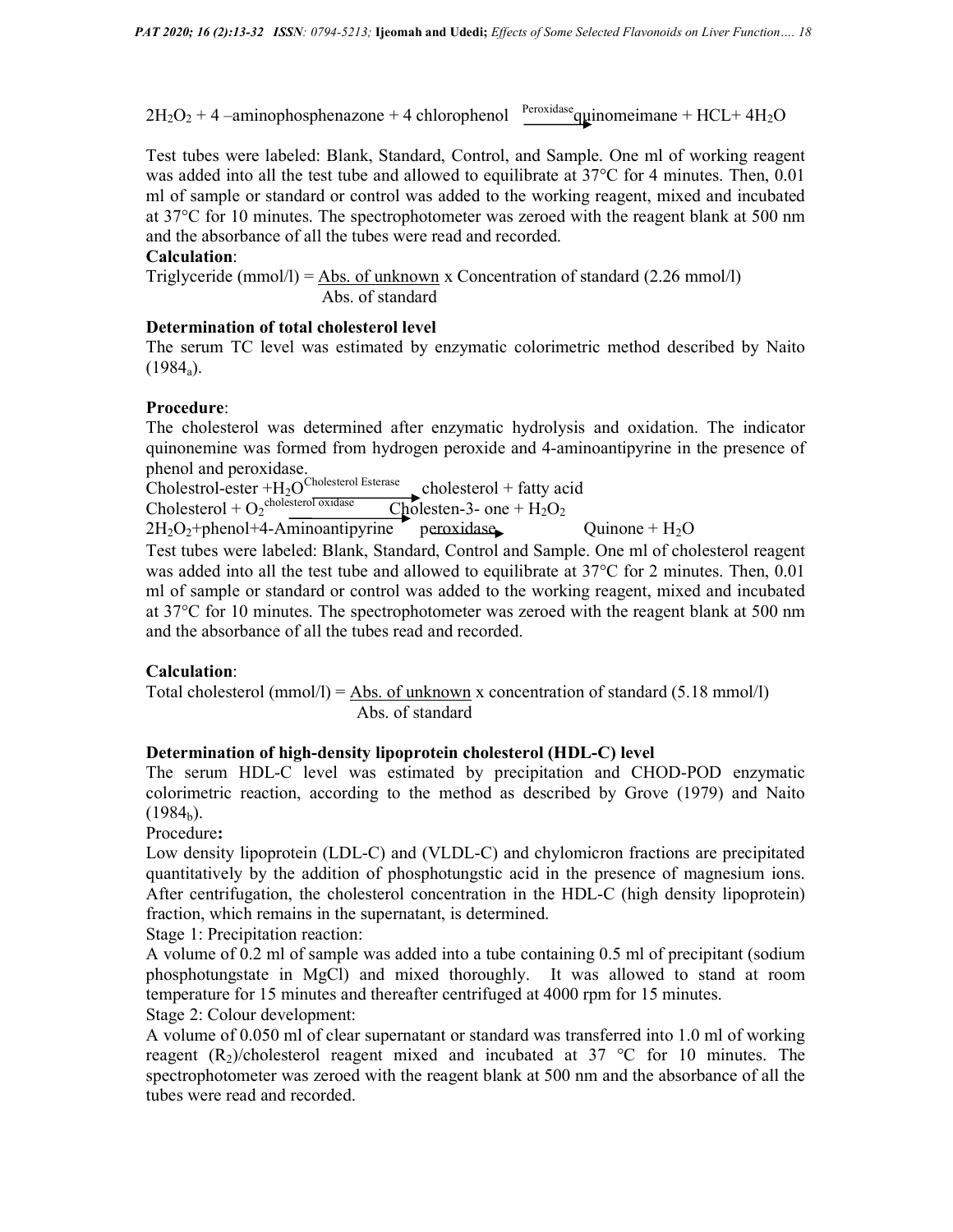$2H_2O_2 + 4$  –aminophosphenazone + 4 chlorophenol  $Percxidase$  quinomeimane + HCL+ 4H<sub>2</sub>O

Test tubes were labeled: Blank, Standard, Control, and Sample. One ml of working reagent was added into all the test tube and allowed to equilibrate at 37<sup>o</sup>C for 4 minutes. Then, 0.01 ml of sample or standard or control was added to the working reagent, mixed and incubated at 37°C for 10 minutes. The spectrophotometer was zeroed with the reagent blank at 500 nm and the absorbance of all the tubes were read and recorded.

## Calculation:

Triglyceride (mmol/l) = Abs. of unknown x Concentration of standard  $(2.26 \text{ mmol/l})$ Abs. of standard

## Determination of total cholesterol level

The serum TC level was estimated by enzymatic colorimetric method described by Naito  $(1984_a).$ 

#### Procedure:

The cholesterol was determined after enzymatic hydrolysis and oxidation. The indicator quinonemine was formed from hydrogen peroxide and 4-aminoantipyrine in the presence of phenol and peroxidase.

Cholestrol-ester  $+H_2O^{Cholesterol Esterase}$  cholesterol + fatty acid

 $Cholesterol + O<sub>2</sub><sup>cholesterol</sup>$   $\frac{1}{\sqrt{2}}$  Cholesten-3- one + H<sub>2</sub>O<sub>2</sub>

 $2H_2O_2$ +phenol+4-Aminoantipyrine peroxidase Quinone +  $H_2O$ Test tubes were labeled: Blank, Standard, Control and Sample. One ml of cholesterol reagent was added into all the test tube and allowed to equilibrate at 37°C for 2 minutes. Then, 0.01

ml of sample or standard or control was added to the working reagent, mixed and incubated at 37°C for 10 minutes. The spectrophotometer was zeroed with the reagent blank at 500 nm and the absorbance of all the tubes read and recorded.

## Calculation:

Total cholesterol (mmol/l) =  $\Delta$ bs. of unknown x concentration of standard (5.18 mmol/l) Abs. of standard

## Determination of high-density lipoprotein cholesterol (HDL-C) level

The serum HDL-C level was estimated by precipitation and CHOD-POD enzymatic colorimetric reaction, according to the method as described by Grove (1979) and Naito  $(1984<sub>b</sub>)$ .

Procedure:

Low density lipoprotein (LDL-C) and (VLDL-C) and chylomicron fractions are precipitated quantitatively by the addition of phosphotungstic acid in the presence of magnesium ions. After centrifugation, the cholesterol concentration in the HDL-C (high density lipoprotein) fraction, which remains in the supernatant, is determined.

Stage 1: Precipitation reaction:

A volume of 0.2 ml of sample was added into a tube containing 0.5 ml of precipitant (sodium phosphotungstate in MgCl) and mixed thoroughly. It was allowed to stand at room temperature for 15 minutes and thereafter centrifuged at 4000 rpm for 15 minutes.

Stage 2: Colour development:

A volume of 0.050 ml of clear supernatant or standard was transferred into 1.0 ml of working reagent  $(R_2)$ /cholesterol reagent mixed and incubated at 37 °C for 10 minutes. The spectrophotometer was zeroed with the reagent blank at 500 nm and the absorbance of all the tubes were read and recorded.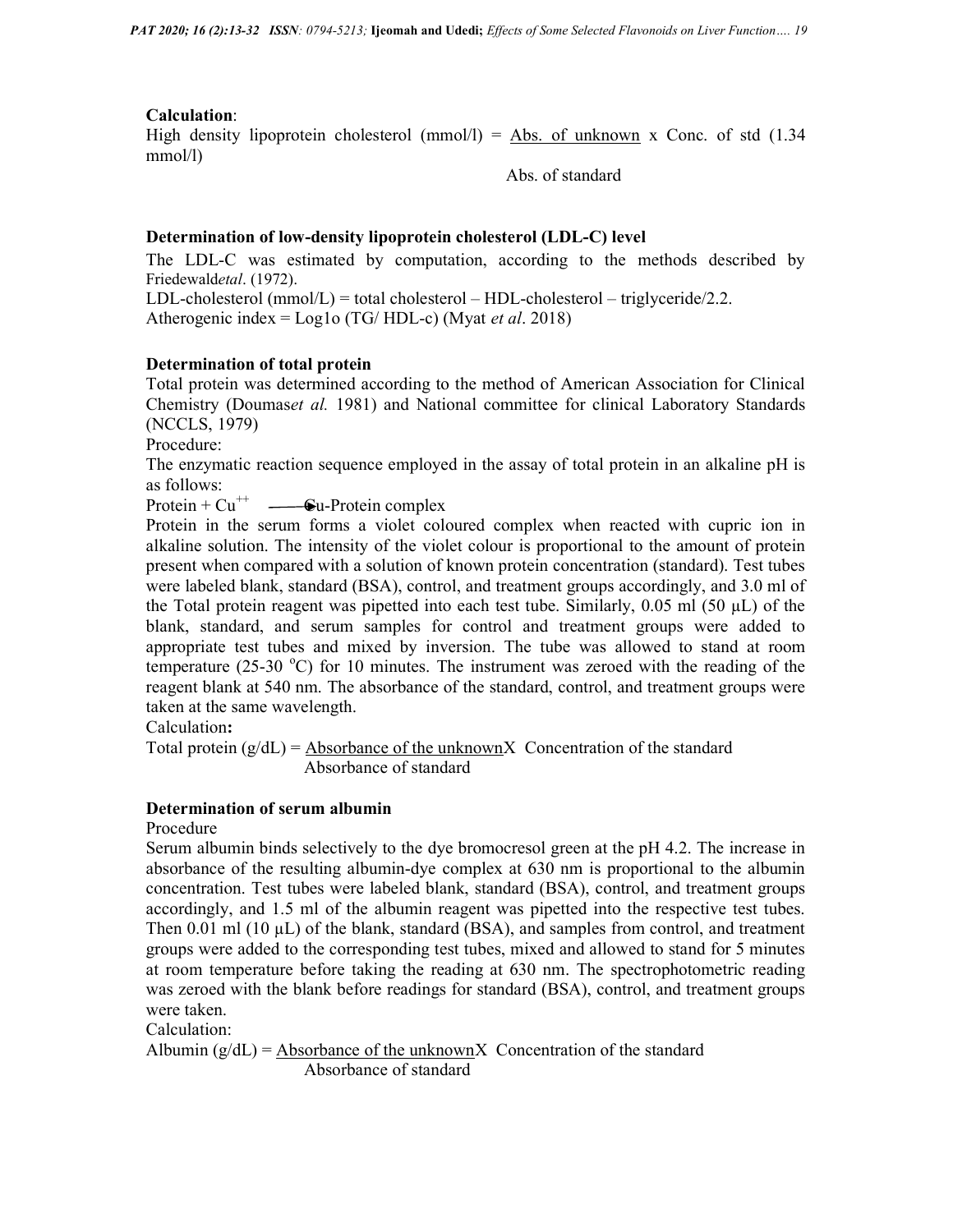## Calculation:

High density lipoprotein cholesterol (mmol/l) =  $\Delta$ bs. of unknown x Conc. of std (1.34 mmol/l)

Abs. of standard

#### Determination of low-density lipoprotein cholesterol (LDL-C) level

The LDL-C was estimated by computation, according to the methods described by Friedewaldetal. (1972).

LDL-cholesterol (mmol/L) = total cholesterol – HDL-cholesterol – triglyceride/2.2. Atherogenic index =  $Loglo(TG/HDL-c)$  (Myat *et al.* 2018)

#### Determination of total protein

Total protein was determined according to the method of American Association for Clinical Chemistry (Doumaset al. 1981) and National committee for clinical Laboratory Standards (NCCLS, 1979)

Procedure:

The enzymatic reaction sequence employed in the assay of total protein in an alkaline pH is as follows:

Protein +  $Cu^{++}$   $\longrightarrow$  Cu-Protein complex

Protein in the serum forms a violet coloured complex when reacted with cupric ion in alkaline solution. The intensity of the violet colour is proportional to the amount of protein present when compared with a solution of known protein concentration (standard). Test tubes were labeled blank, standard (BSA), control, and treatment groups accordingly, and 3.0 ml of the Total protein reagent was pipetted into each test tube. Similarly,  $0.05$  ml (50  $\mu$ L) of the blank, standard, and serum samples for control and treatment groups were added to appropriate test tubes and mixed by inversion. The tube was allowed to stand at room temperature (25-30  $^{\circ}$ C) for 10 minutes. The instrument was zeroed with the reading of the reagent blank at 540 nm. The absorbance of the standard, control, and treatment groups were taken at the same wavelength.

Calculation:

Total protein  $(g/dL)$  = Absorbance of the unknownX Concentration of the standard Absorbance of standard

## Determination of serum albumin

Procedure

Serum albumin binds selectively to the dye bromocresol green at the pH 4.2. The increase in absorbance of the resulting albumin-dye complex at 630 nm is proportional to the albumin concentration. Test tubes were labeled blank, standard (BSA), control, and treatment groups accordingly, and 1.5 ml of the albumin reagent was pipetted into the respective test tubes. Then 0.01 ml  $(10 \mu L)$  of the blank, standard (BSA), and samples from control, and treatment groups were added to the corresponding test tubes, mixed and allowed to stand for 5 minutes at room temperature before taking the reading at 630 nm. The spectrophotometric reading was zeroed with the blank before readings for standard (BSA), control, and treatment groups were taken.

Calculation:

Albumin  $(g/dL)$  = Absorbance of the unknownX Concentration of the standard Absorbance of standard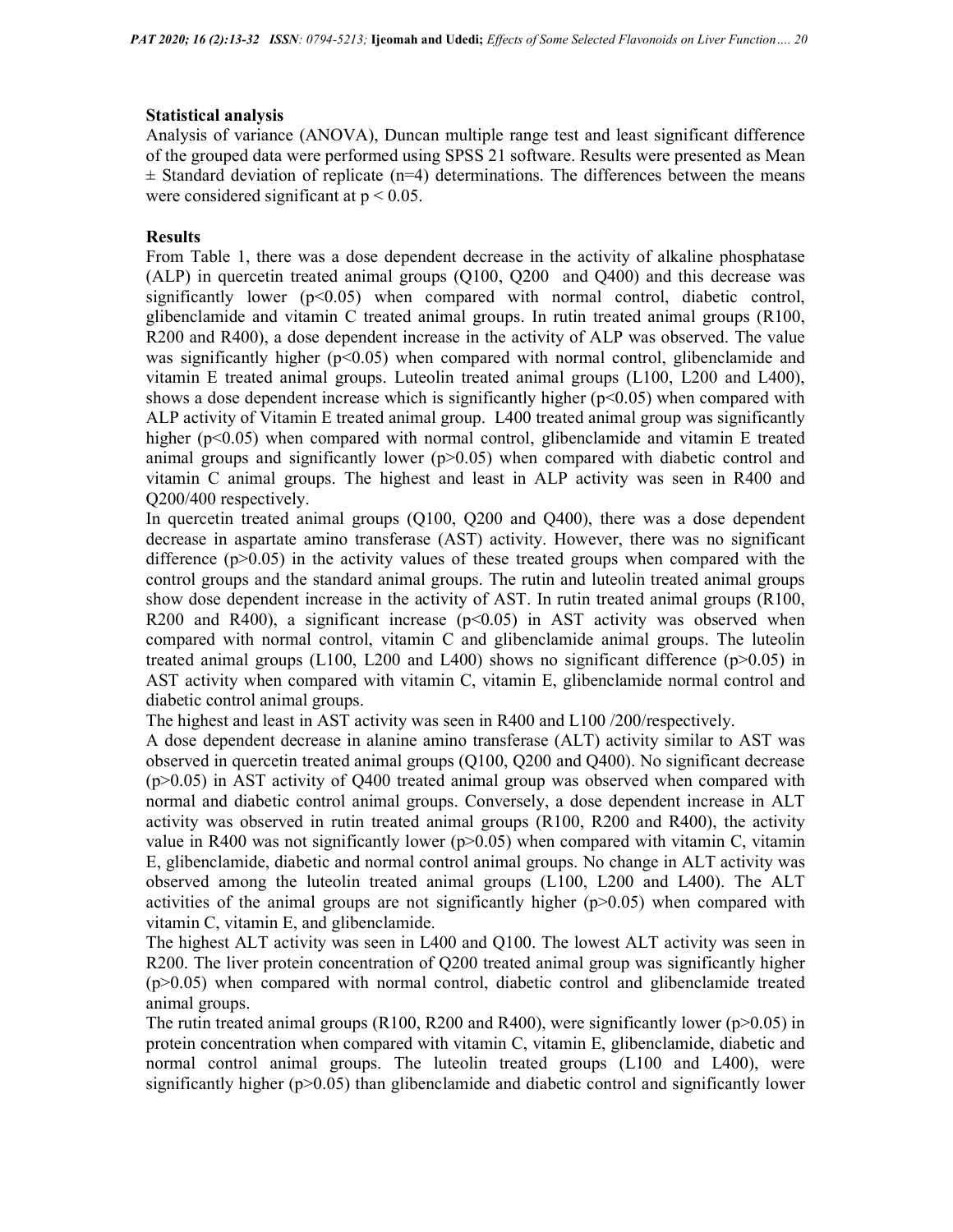## Statistical analysis

Analysis of variance (ANOVA), Duncan multiple range test and least significant difference of the grouped data were performed using SPSS 21 software. Results were presented as Mean  $\pm$  Standard deviation of replicate (n=4) determinations. The differences between the means were considered significant at  $p < 0.05$ .

## Results

From Table 1, there was a dose dependent decrease in the activity of alkaline phosphatase (ALP) in quercetin treated animal groups (Q100, Q200 and Q400) and this decrease was significantly lower  $(p<0.05)$  when compared with normal control, diabetic control, glibenclamide and vitamin C treated animal groups. In rutin treated animal groups (R100, R200 and R400), a dose dependent increase in the activity of ALP was observed. The value was significantly higher  $(p<0.05)$  when compared with normal control, glibenclamide and vitamin E treated animal groups. Luteolin treated animal groups (L100, L200 and L400), shows a dose dependent increase which is significantly higher  $(p<0.05)$  when compared with ALP activity of Vitamin E treated animal group. L400 treated animal group was significantly higher ( $p<0.05$ ) when compared with normal control, glibenclamide and vitamin E treated animal groups and significantly lower  $(p>0.05)$  when compared with diabetic control and vitamin C animal groups. The highest and least in ALP activity was seen in R400 and Q200/400 respectively.

In quercetin treated animal groups (Q100, Q200 and Q400), there was a dose dependent decrease in aspartate amino transferase (AST) activity. However, there was no significant difference  $(p>0.05)$  in the activity values of these treated groups when compared with the control groups and the standard animal groups. The rutin and luteolin treated animal groups show dose dependent increase in the activity of AST. In rutin treated animal groups (R100, R200 and R400), a significant increase  $(p<0.05)$  in AST activity was observed when compared with normal control, vitamin C and glibenclamide animal groups. The luteolin treated animal groups (L100, L200 and L400) shows no significant difference ( $p>0.05$ ) in AST activity when compared with vitamin C, vitamin E, glibenclamide normal control and diabetic control animal groups.

The highest and least in AST activity was seen in R400 and L100 /200/respectively.

A dose dependent decrease in alanine amino transferase (ALT) activity similar to AST was observed in quercetin treated animal groups (Q100, Q200 and Q400). No significant decrease  $(p>0.05)$  in AST activity of O400 treated animal group was observed when compared with normal and diabetic control animal groups. Conversely, a dose dependent increase in ALT activity was observed in rutin treated animal groups (R100, R200 and R400), the activity value in R400 was not significantly lower ( $p$ >0.05) when compared with vitamin C, vitamin E, glibenclamide, diabetic and normal control animal groups. No change in ALT activity was observed among the luteolin treated animal groups (L100, L200 and L400). The ALT activities of the animal groups are not significantly higher  $(p>0.05)$  when compared with vitamin C, vitamin E, and glibenclamide.

The highest ALT activity was seen in L400 and Q100. The lowest ALT activity was seen in R200. The liver protein concentration of Q200 treated animal group was significantly higher (p>0.05) when compared with normal control, diabetic control and glibenclamide treated animal groups.

The rutin treated animal groups (R100, R200 and R400), were significantly lower ( $p$  $>$ 0.05) in protein concentration when compared with vitamin C, vitamin E, glibenclamide, diabetic and normal control animal groups. The luteolin treated groups (L100 and L400), were significantly higher ( $p>0.05$ ) than glibenclamide and diabetic control and significantly lower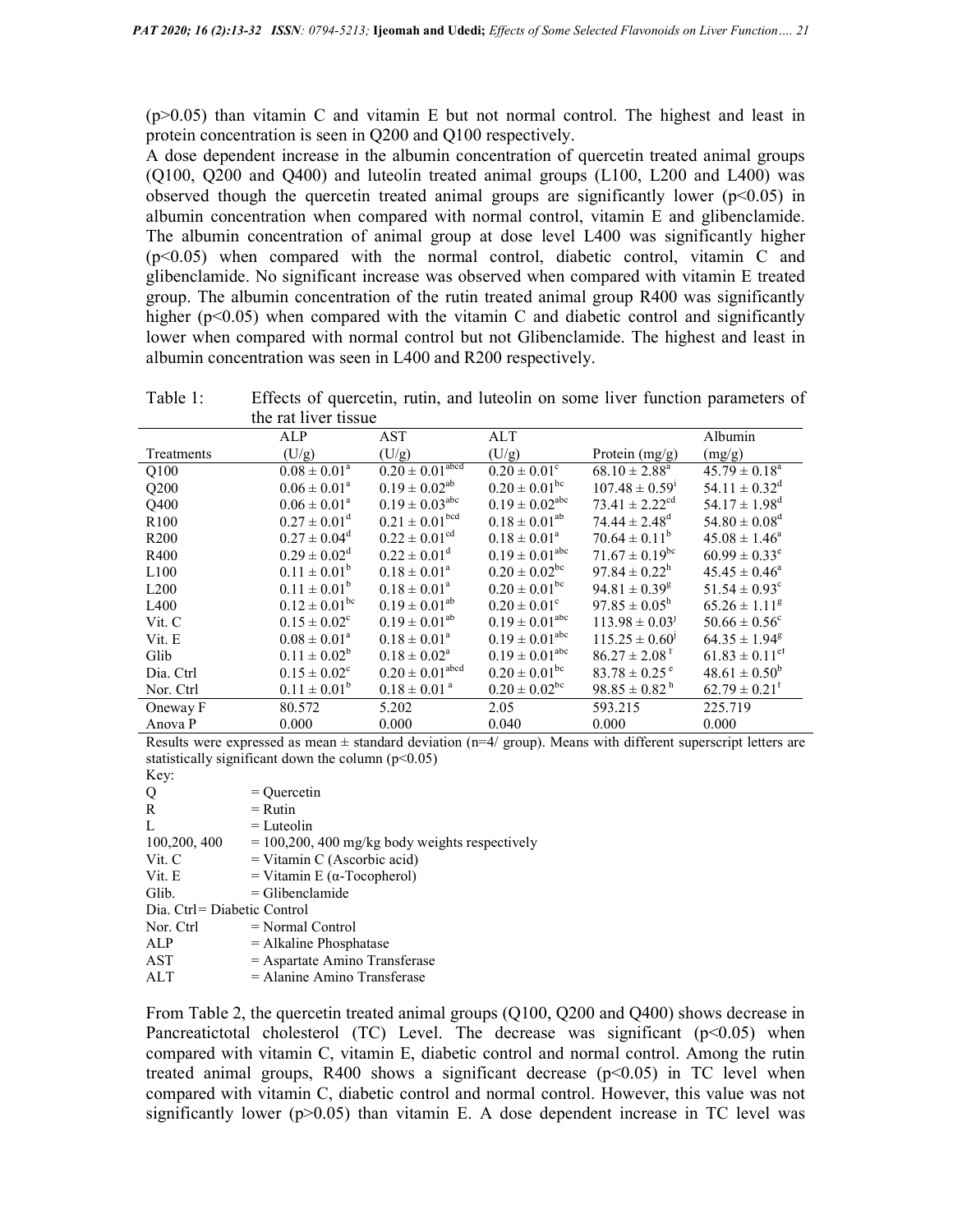(p>0.05) than vitamin C and vitamin E but not normal control. The highest and least in protein concentration is seen in Q200 and Q100 respectively.

A dose dependent increase in the albumin concentration of quercetin treated animal groups (Q100, Q200 and Q400) and luteolin treated animal groups (L100, L200 and L400) was observed though the quercetin treated animal groups are significantly lower ( $p<0.05$ ) in albumin concentration when compared with normal control, vitamin E and glibenclamide. The albumin concentration of animal group at dose level L400 was significantly higher (p<0.05) when compared with the normal control, diabetic control, vitamin C and glibenclamide. No significant increase was observed when compared with vitamin E treated group. The albumin concentration of the rutin treated animal group R400 was significantly higher ( $p<0.05$ ) when compared with the vitamin C and diabetic control and significantly lower when compared with normal control but not Glibenclamide. The highest and least in albumin concentration was seen in L400 and R200 respectively.

Table 1: Effects of quercetin, rutin, and luteolin on some liver function parameters of the rat liver tissue

|                  | ALP                     | AST                             | $\mathop{\mathrm{ALT}}$      |                                | Albumin                        |
|------------------|-------------------------|---------------------------------|------------------------------|--------------------------------|--------------------------------|
| Treatments       | (U/g)                   | (U/g)                           | (U/g)                        | Protein $(mg/g)$               | (mg/g)                         |
| Q100             | $0.08 \pm 0.01^a$       | $0.20 \pm 0.01$ <sup>abcd</sup> | $0.20 \pm 0.01^{\circ}$      | $68.10 \pm 2.88^{\text{a}}$    | $45.79 \pm 0.18^a$             |
| Q200             | $0.06 \pm 0.01^{\circ}$ | $0.19 \pm 0.02^{ab}$            | $0.20 \pm 0.01^{bc}$         | $107.48 \pm 0.59$ <sup>1</sup> | $54.11 \pm 0.32^d$             |
| Q400             | $0.06 \pm 0.01^a$       | $0.19 \pm 0.03^{\rm abc}$       | $0.19 \pm 0.02^{\text{abc}}$ | $73.41 \pm 2.22$ <sup>cd</sup> | $54.17 \pm 1.98^d$             |
| R <sub>100</sub> | $0.27 \pm 0.01^d$       | $0.21 \pm 0.01$ <sup>bcd</sup>  | $0.18 \pm 0.01^{ab}$         | $74.44 \pm 2.48$ <sup>d</sup>  | $54.80 \pm 0.08$ <sup>d</sup>  |
| R <sub>200</sub> | $0.27 \pm 0.04^d$       | $0.22 \pm 0.01^{\text{cd}}$     | $0.18 \pm 0.01^a$            | $70.64 \pm 0.11^b$             | $45.08 \pm 1.46^{\circ}$       |
| R400             | $0.29 \pm 0.02^d$       | $0.22 \pm 0.01^d$               | $0.19 \pm 0.01^{\text{abc}}$ | $71.67 \pm 0.19$ <sup>bc</sup> | $60.99 \pm 0.33^e$             |
| L100             | $0.11 \pm 0.01^b$       | $0.18 \pm 0.01^a$               | $0.20 \pm 0.02^{bc}$         | $97.84 \pm 0.22^{\rm h}$       | $45.45 \pm 0.46^a$             |
| L200             | $0.11 \pm 0.01^b$       | $0.18 \pm 0.01^a$               | $0.20 \pm 0.01^{\rm bc}$     | $94.81 \pm 0.39$ <sup>g</sup>  | $51.54 \pm 0.93$ <sup>c</sup>  |
| L <sub>400</sub> | $0.12 \pm 0.01^{bc}$    | $0.19 \pm 0.01^{ab}$            | $0.20 \pm 0.01^{\circ}$      | $97.85 \pm 0.05^{\rm h}$       | $65.26 \pm 1.11$ <sup>g</sup>  |
| Vit. C           | $0.15 \pm 0.02^{\circ}$ | $0.19 \pm 0.01^{ab}$            | $0.19 \pm 0.01^{\text{abc}}$ | $113.98 \pm 0.03^{j}$          | $50.66 \pm 0.56^{\circ}$       |
| Vit. E           | $0.08 \pm 0.01^a$       | $0.18 \pm 0.01^a$               | $0.19 \pm 0.01^{\text{abc}}$ | $115.25 \pm 0.60^{\circ}$      | $64.35 \pm 1.94^g$             |
| Glib             | $0.11 \pm 0.02^b$       | $0.18 \pm 0.02^a$               | $0.19 \pm 0.01^{\text{abc}}$ | $86.27 \pm 2.08$ <sup>f</sup>  | $61.83 \pm 0.11$ <sup>ef</sup> |
| Dia. Ctrl        | $0.15 \pm 0.02^{\circ}$ | $0.20 \pm 0.01^{\text{abcd}}$   | $0.20 \pm 0.01^{\rm bc}$     | $83.78 \pm 0.25$ <sup>e</sup>  | $48.61 \pm 0.50^b$             |
| Nor. Ctrl        | $0.11 \pm 0.01^b$       | $0.18 \pm 0.01$ <sup>a</sup>    | $0.20 \pm 0.02^{bc}$         | $98.85 \pm 0.82^{\mathrm{h}}$  | $62.79 \pm 0.21^t$             |
| Oneway F         | 80.572                  | 5.202                           | 2.05                         | 593.215                        | 225.719                        |
| Anova P          | 0.000                   | 0.000                           | 0.040                        | 0.000                          | 0.000                          |

Results were expressed as mean  $\pm$  standard deviation (n=4/ group). Means with different superscript letters are statistically significant down the column  $(p<0.05)$ 

Key:

| $\cdots$                    |                                                 |
|-----------------------------|-------------------------------------------------|
| Q                           | $=$ Ouercetin                                   |
| R                           | $=$ Rutin                                       |
| L                           | $=$ Luteolin                                    |
| 100,200, 400                | $= 100,200,400$ mg/kg body weights respectively |
| Vit. C                      | $=$ Vitamin C (Ascorbic acid)                   |
| Vit. E                      | = Vitamin E ( $\alpha$ -Tocopherol)             |
| Glib.                       | $=$ Glibenclamide                               |
| Dia. Ctrl= Diabetic Control |                                                 |
| Nor. Ctrl                   | $=$ Normal Control                              |
| ALP                         | $=$ Alkaline Phosphatase                        |
| AST                         | $=$ Aspartate Amino Transferase                 |
| $\cdot$ $\cdot$ $\cdot$     |                                                 |

 $ALT =$ Alanine Amino Transferase

From Table 2, the quercetin treated animal groups (Q100, Q200 and Q400) shows decrease in Pancreatictotal cholesterol (TC) Level. The decrease was significant  $(p<0.05)$  when compared with vitamin C, vitamin E, diabetic control and normal control. Among the rutin treated animal groups,  $R400$  shows a significant decrease  $(p<0.05)$  in TC level when compared with vitamin C, diabetic control and normal control. However, this value was not significantly lower ( $p>0.05$ ) than vitamin E. A dose dependent increase in TC level was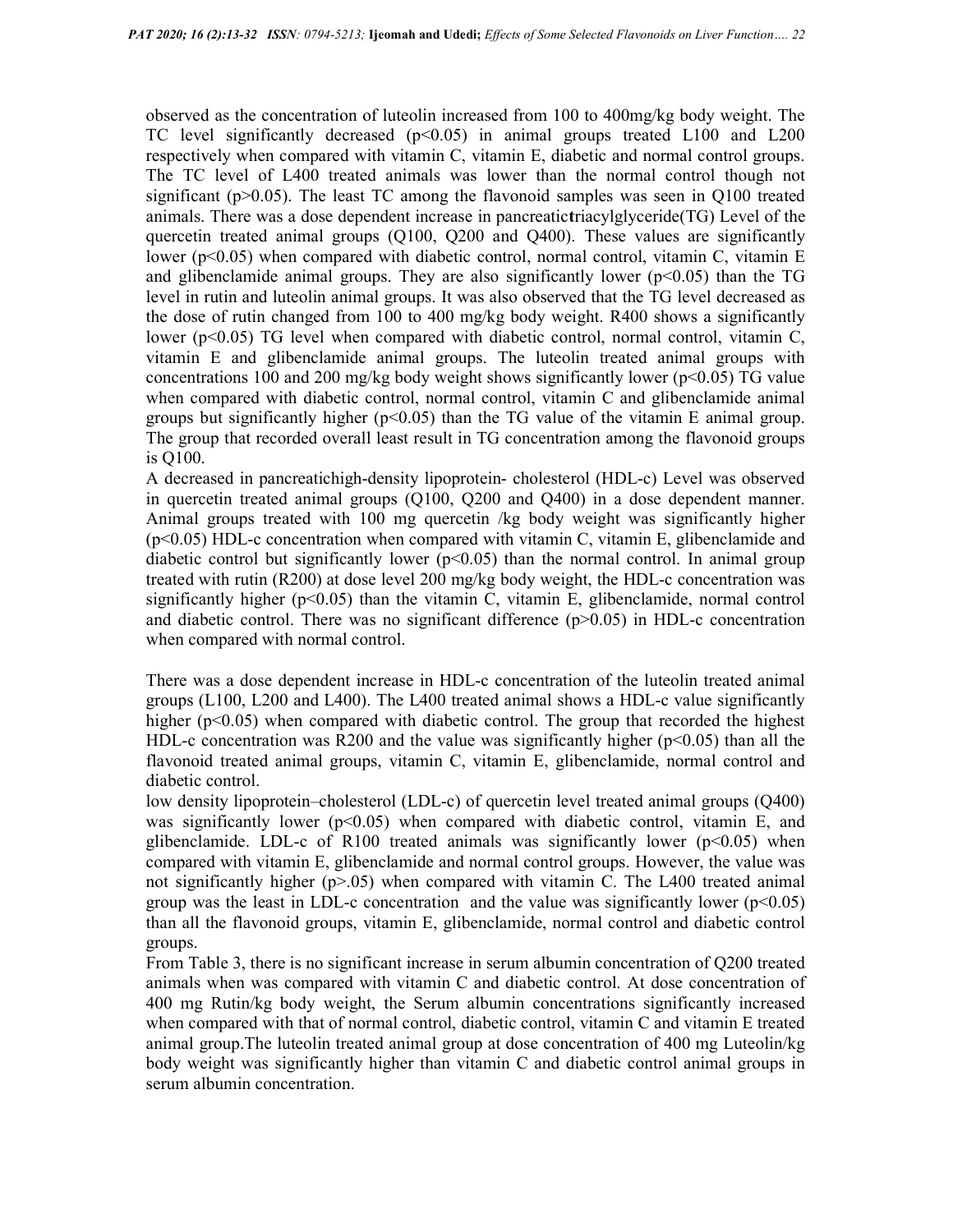observed as the concentration of luteolin increased from 100 to 400mg/kg body weight. The TC level significantly decreased  $(p<0.05)$  in animal groups treated L100 and L200 respectively when compared with vitamin C, vitamin E, diabetic and normal control groups. The TC level of L400 treated animals was lower than the normal control though not significant ( $p > 0.05$ ). The least TC among the flavonoid samples was seen in Q100 treated animals. There was a dose dependent increase in pancreatictriacylglyceride(TG) Level of the quercetin treated animal groups (Q100, Q200 and Q400). These values are significantly lower (p<0.05) when compared with diabetic control, normal control, vitamin C, vitamin E and glibenclamide animal groups. They are also significantly lower  $(p<0.05)$  than the TG level in rutin and luteolin animal groups. It was also observed that the TG level decreased as the dose of rutin changed from 100 to 400 mg/kg body weight. R400 shows a significantly lower (p<0.05) TG level when compared with diabetic control, normal control, vitamin C, vitamin E and glibenclamide animal groups. The luteolin treated animal groups with concentrations 100 and 200 mg/kg body weight shows significantly lower ( $p<0.05$ ) TG value when compared with diabetic control, normal control, vitamin C and glibenclamide animal groups but significantly higher ( $p<0.05$ ) than the TG value of the vitamin E animal group. The group that recorded overall least result in TG concentration among the flavonoid groups is Q100.

A decreased in pancreatichigh-density lipoprotein- cholesterol (HDL-c) Level was observed in quercetin treated animal groups (Q100, Q200 and Q400) in a dose dependent manner. Animal groups treated with 100 mg quercetin /kg body weight was significantly higher (p<0.05) HDL-c concentration when compared with vitamin C, vitamin E, glibenclamide and diabetic control but significantly lower  $(p<0.05)$  than the normal control. In animal group treated with rutin (R200) at dose level 200 mg/kg body weight, the HDL-c concentration was significantly higher  $(p<0.05)$  than the vitamin C, vitamin E, glibenclamide, normal control and diabetic control. There was no significant difference  $(p>0.05)$  in HDL-c concentration when compared with normal control.

There was a dose dependent increase in HDL-c concentration of the luteolin treated animal groups (L100, L200 and L400). The L400 treated animal shows a HDL-c value significantly higher (p<0.05) when compared with diabetic control. The group that recorded the highest HDL-c concentration was R200 and the value was significantly higher ( $p$ <0.05) than all the flavonoid treated animal groups, vitamin C, vitamin E, glibenclamide, normal control and diabetic control.

low density lipoprotein–cholesterol (LDL-c) of quercetin level treated animal groups (Q400) was significantly lower  $(p<0.05)$  when compared with diabetic control, vitamin E, and glibenclamide. LDL-c of R100 treated animals was significantly lower  $(p<0.05)$  when compared with vitamin E, glibenclamide and normal control groups. However, the value was not significantly higher ( $p$  $> 0.05$ ) when compared with vitamin C. The L400 treated animal group was the least in LDL-c concentration and the value was significantly lower  $(p<0.05)$ than all the flavonoid groups, vitamin E, glibenclamide, normal control and diabetic control groups.

From Table 3, there is no significant increase in serum albumin concentration of Q200 treated animals when was compared with vitamin C and diabetic control. At dose concentration of 400 mg Rutin/kg body weight, the Serum albumin concentrations significantly increased when compared with that of normal control, diabetic control, vitamin C and vitamin E treated animal group.The luteolin treated animal group at dose concentration of 400 mg Luteolin/kg body weight was significantly higher than vitamin C and diabetic control animal groups in serum albumin concentration.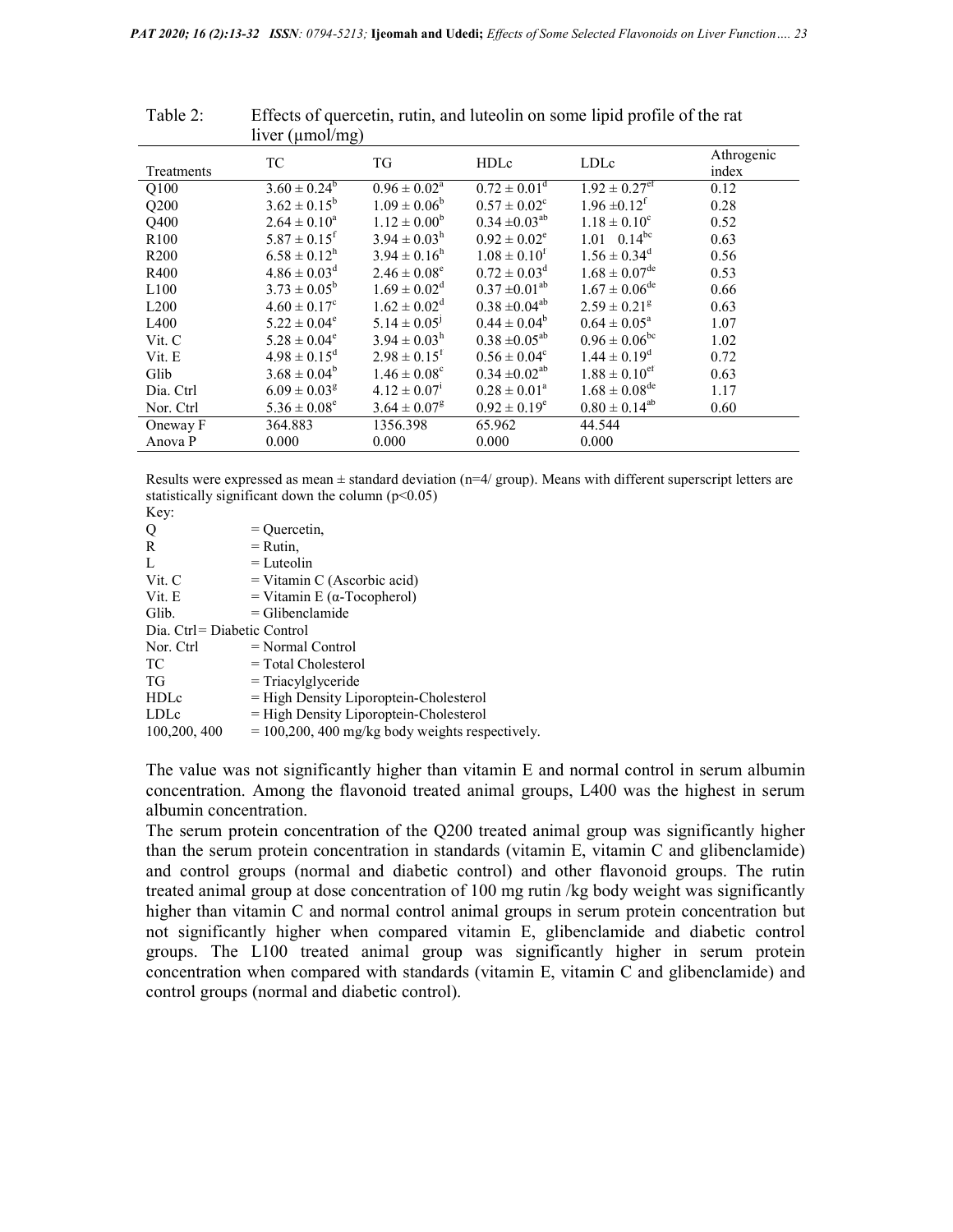|                  | liver $(\mu \text{mol/mg})$  |                              |                         |                               |                     |
|------------------|------------------------------|------------------------------|-------------------------|-------------------------------|---------------------|
| Treatments       | TC                           | TG                           | HDLc                    | LDLc                          | Athrogenic<br>index |
| Q100             | $3.60 \pm 0.24^b$            | $0.96 \pm 0.02^{\text{a}}$   | $0.72 \pm 0.01^d$       | $1.92 \pm 0.27$ <sup>ef</sup> | 0.12                |
| Q200             | $3.62 \pm 0.15^b$            | $1.09 \pm 0.06^b$            | $0.57 \pm 0.02^{\circ}$ | $1.96 \pm 0.12^f$             | 0.28                |
| Q400             | $2.64 \pm 0.10^a$            | $1.12 \pm 0.00^b$            | $0.34 \pm 0.03^{ab}$    | $1.18 \pm 0.10^c$             | 0.52                |
| R <sub>100</sub> | $5.87 \pm 0.15$ <sup>f</sup> | $3.94 \pm 0.03^{\rm h}$      | $0.92 \pm 0.02^e$       | $1.01 \quad 0.14^{bc}$        | 0.63                |
| R <sub>200</sub> | $6.58 \pm 0.12^h$            | $3.94 \pm 0.16^{\rm h}$      | $1.08 \pm 0.10^f$       | $1.56 \pm 0.34^d$             | 0.56                |
| R400             | $4.86 \pm 0.03^d$            | $2.46 \pm 0.08^e$            | $0.72 \pm 0.03^d$       | $1.68 \pm 0.07^{\text{de}}$   | 0.53                |
| L <sub>100</sub> | $3.73 \pm 0.05^b$            | $1.69 \pm 0.02^d$            | $0.37 \pm 0.01^{ab}$    | $1.67 \pm 0.06^{\text{de}}$   | 0.66                |
| L200             | $4.60 \pm 0.17^c$            | $1.62 \pm 0.02^d$            | $0.38 \pm 0.04^{ab}$    | $2.59 \pm 0.21$ <sup>g</sup>  | 0.63                |
| L <sub>400</sub> | $5.22 \pm 0.04^e$            | $5.14 \pm 0.05^{\rm j}$      | $0.44 \pm 0.04^b$       | $0.64 \pm 0.05^a$             | 1.07                |
| Vit. C           | $5.28 \pm 0.04^e$            | $3.94 \pm 0.03^{\rm h}$      | $0.38 \pm 0.05^{ab}$    | $0.96 \pm 0.06^{\rm bc}$      | 1.02                |
| Vit. E           | $4.98 \pm 0.15^d$            | $2.98 \pm 0.15$ <sup>r</sup> | $0.56 \pm 0.04^c$       | $1.44 \pm 0.19^d$             | 0.72                |
| Glib             | $3.68 \pm 0.04^b$            | $1.46 \pm 0.08^c$            | $0.34 \pm 0.02^{ab}$    | $1.88 \pm 0.10$ <sup>ef</sup> | 0.63                |
| Dia. Ctrl        | $6.09 \pm 0.03$ <sup>g</sup> | $4.12 \pm 0.07$ <sup>1</sup> | $0.28 \pm 0.01^a$       | $1.68 \pm 0.08^{\rm de}$      | 1.17                |
| Nor. Ctrl        | $5.36 \pm 0.08^e$            | $3.64 \pm 0.07$ <sup>g</sup> | $0.92 \pm 0.19^e$       | $0.80 \pm 0.14^{ab}$          | 0.60                |
| Oneway F         | 364.883                      | 1356.398                     | 65.962                  | 44.544                        |                     |
| Anova P          | 0.000                        | 0.000                        | 0.000                   | 0.000                         |                     |

Table 2: Effects of quercetin, rutin, and luteolin on some lipid profile of the rat

Results were expressed as mean  $\pm$  standard deviation (n=4/ group). Means with different superscript letters are statistically significant down the column  $(p<0.05)$  $V_{\text{av}}$ 

| LCY.                        |                                                  |
|-----------------------------|--------------------------------------------------|
| Q                           | $=$ Ouercetin,                                   |
| R                           | $=$ Rutin,                                       |
| Ι.                          | $=$ Luteolin                                     |
| Vit. C                      | $=$ Vitamin C (Ascorbic acid)                    |
| Vit. E                      | = Vitamin E ( $\alpha$ -Tocopherol)              |
| Glib.                       | $=$ Glibenclamide                                |
| Dia. Ctrl= Diabetic Control |                                                  |
| Nor. Ctrl                   | $=$ Normal Control                               |
| TC                          | $=$ Total Cholesterol                            |
| TG                          | $=$ Triacylglyceride                             |
| HDLc                        | $=$ High Density Liporoptein-Cholesterol         |
| LDLc                        | = High Density Liporoptein-Cholesterol           |
| 100,200, 400                | $= 100,200,400$ mg/kg body weights respectively. |

The value was not significantly higher than vitamin E and normal control in serum albumin concentration. Among the flavonoid treated animal groups, L400 was the highest in serum albumin concentration.

The serum protein concentration of the Q200 treated animal group was significantly higher than the serum protein concentration in standards (vitamin E, vitamin C and glibenclamide) and control groups (normal and diabetic control) and other flavonoid groups. The rutin treated animal group at dose concentration of 100 mg rutin /kg body weight was significantly higher than vitamin C and normal control animal groups in serum protein concentration but not significantly higher when compared vitamin E, glibenclamide and diabetic control groups. The L100 treated animal group was significantly higher in serum protein concentration when compared with standards (vitamin E, vitamin C and glibenclamide) and control groups (normal and diabetic control).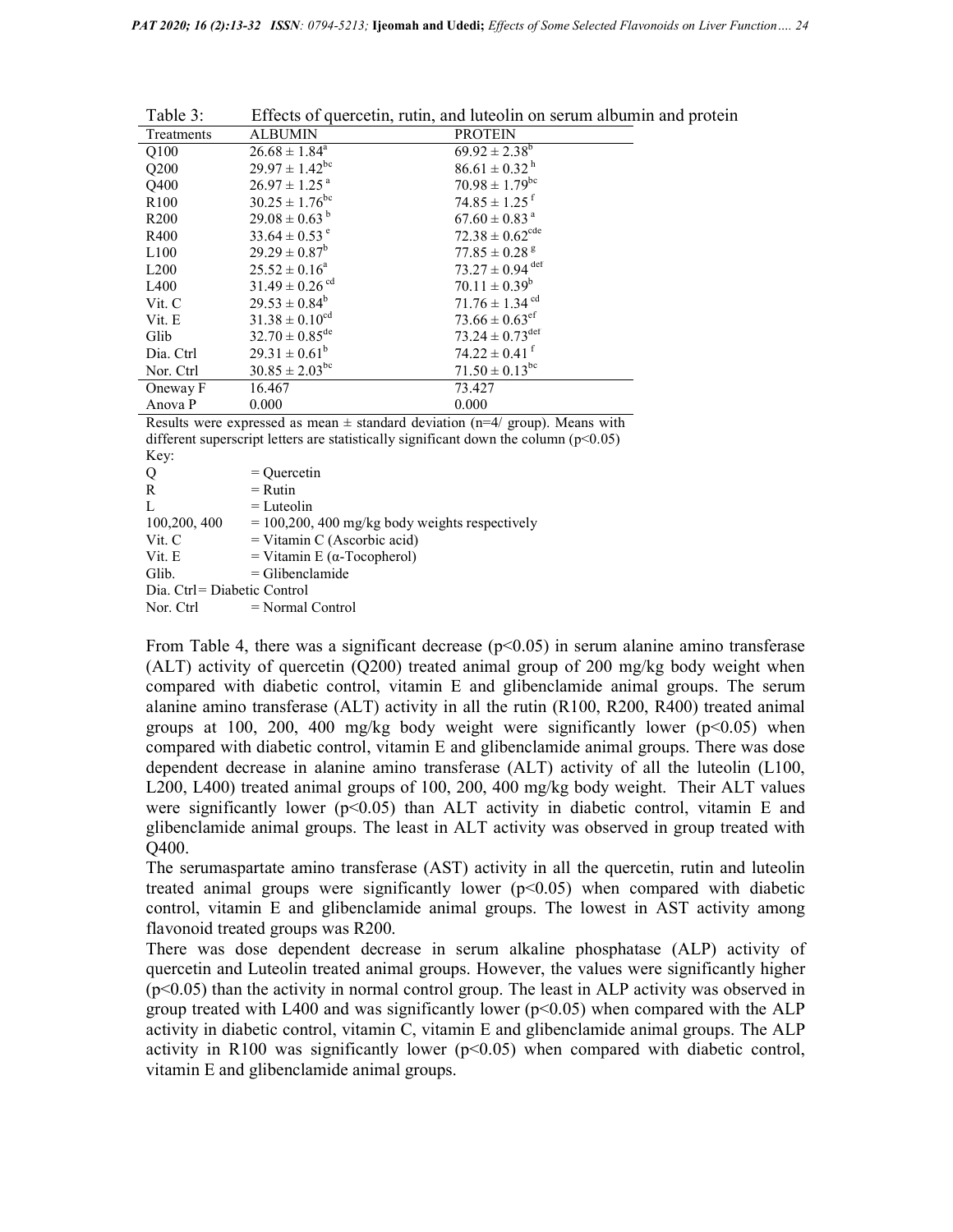| $1$ able $3$ :   |                                | Effects of quercetin, rutin, and futeolin on serum albumin a |
|------------------|--------------------------------|--------------------------------------------------------------|
| Treatments       | <b>ALBUMIN</b>                 | <b>PROTEIN</b>                                               |
| Q100             | $26.68 \pm 1.84^a$             | $69.92 \pm 2.38^b$                                           |
| Q200             | $29.97 \pm 1.42$ <sup>bc</sup> | $86.61 \pm 0.32$ <sup>h</sup>                                |
| Q400             | $26.97 \pm 1.25$ <sup>a</sup>  | $70.98 \pm 1.79$ <sup>bc</sup>                               |
| R <sub>100</sub> | $30.25 \pm 1.76$ <sup>bc</sup> | $74.85 \pm 1.25$ <sup>f</sup>                                |
| R <sub>200</sub> | $29.08 \pm 0.63^{\mathrm{b}}$  | $67.60 \pm 0.83$ <sup>a</sup>                                |
| R400             | $33.64 \pm 0.53$ <sup>e</sup>  | $72.38 \pm 0.62^{\text{cde}}$                                |
| L100             | $29.29 \pm 0.87^b$             | $77.85 \pm 0.28$ <sup>g</sup>                                |
| L200             | $25.52 \pm 0.16^a$             | $73.27 \pm 0.94$ def                                         |
| L <sub>400</sub> | $31.49 \pm 0.26$ <sup>cd</sup> | $70.11 \pm 0.39^b$                                           |
| Vit. C           | $29.53 \pm 0.84^b$             | $71.76 \pm 1.34$ <sup>cd</sup>                               |
| Vit. E           | $31.38 \pm 0.10^{cd}$          | $73.66 \pm 0.63$ <sup>ef</sup>                               |
| Glib             | $32.70 \pm 0.85^{\text{de}}$   | $73.24 \pm 0.73^{\text{def}}$                                |
| Dia. Ctrl        | $29.31 \pm 0.61^b$             | $74.22 \pm 0.41$ <sup>f</sup>                                |
| Nor. Ctrl        | $30.85 \pm 2.03^{bc}$          | $71.50 \pm 0.13^{bc}$                                        |
| Oneway F         | 16.467                         | 73.427                                                       |
| Anova P          | 0.000                          | 0.000                                                        |
|                  |                                |                                                              |

Table 3: Effects of quercetin, rutin, and luteolin on serum albumin and protein

Results were expressed as mean  $\pm$  standard deviation (n=4/ group). Means with different superscript letters are statistically significant down the column  $(p<0.05)$ Key:

| Q                           | $=$ Ouercetin                                   |
|-----------------------------|-------------------------------------------------|
| R                           | $=$ Rutin                                       |
| L                           | $=$ Luteolin                                    |
| 100,200, 400                | $= 100,200,400$ mg/kg body weights respectively |
| Vit. C                      | $=$ Vitamin C (Ascorbic acid)                   |
| Vit. E                      | = Vitamin E ( $\alpha$ -Tocopherol)             |
| Glib.                       | $=$ Glibenclamide                               |
| Dia. Ctrl= Diabetic Control |                                                 |
| Nor. Ctrl                   | $=$ Normal Control                              |

From Table 4, there was a significant decrease ( $p<0.05$ ) in serum alanine amino transferase (ALT) activity of quercetin (Q200) treated animal group of 200 mg/kg body weight when compared with diabetic control, vitamin E and glibenclamide animal groups. The serum alanine amino transferase (ALT) activity in all the rutin (R100, R200, R400) treated animal groups at 100, 200, 400 mg/kg body weight were significantly lower  $(p<0.05)$  when compared with diabetic control, vitamin E and glibenclamide animal groups. There was dose dependent decrease in alanine amino transferase (ALT) activity of all the luteolin (L100, L200, L400) treated animal groups of 100, 200, 400 mg/kg body weight. Their ALT values were significantly lower ( $p<0.05$ ) than ALT activity in diabetic control, vitamin E and glibenclamide animal groups. The least in ALT activity was observed in group treated with Q400.

The serumaspartate amino transferase (AST) activity in all the quercetin, rutin and luteolin treated animal groups were significantly lower  $(p<0.05)$  when compared with diabetic control, vitamin E and glibenclamide animal groups. The lowest in AST activity among flavonoid treated groups was R200.

There was dose dependent decrease in serum alkaline phosphatase (ALP) activity of quercetin and Luteolin treated animal groups. However, the values were significantly higher  $(p<0.05)$  than the activity in normal control group. The least in ALP activity was observed in group treated with L400 and was significantly lower ( $p<0.05$ ) when compared with the ALP activity in diabetic control, vitamin C, vitamin E and glibenclamide animal groups. The ALP activity in R100 was significantly lower  $(p<0.05)$  when compared with diabetic control, vitamin E and glibenclamide animal groups.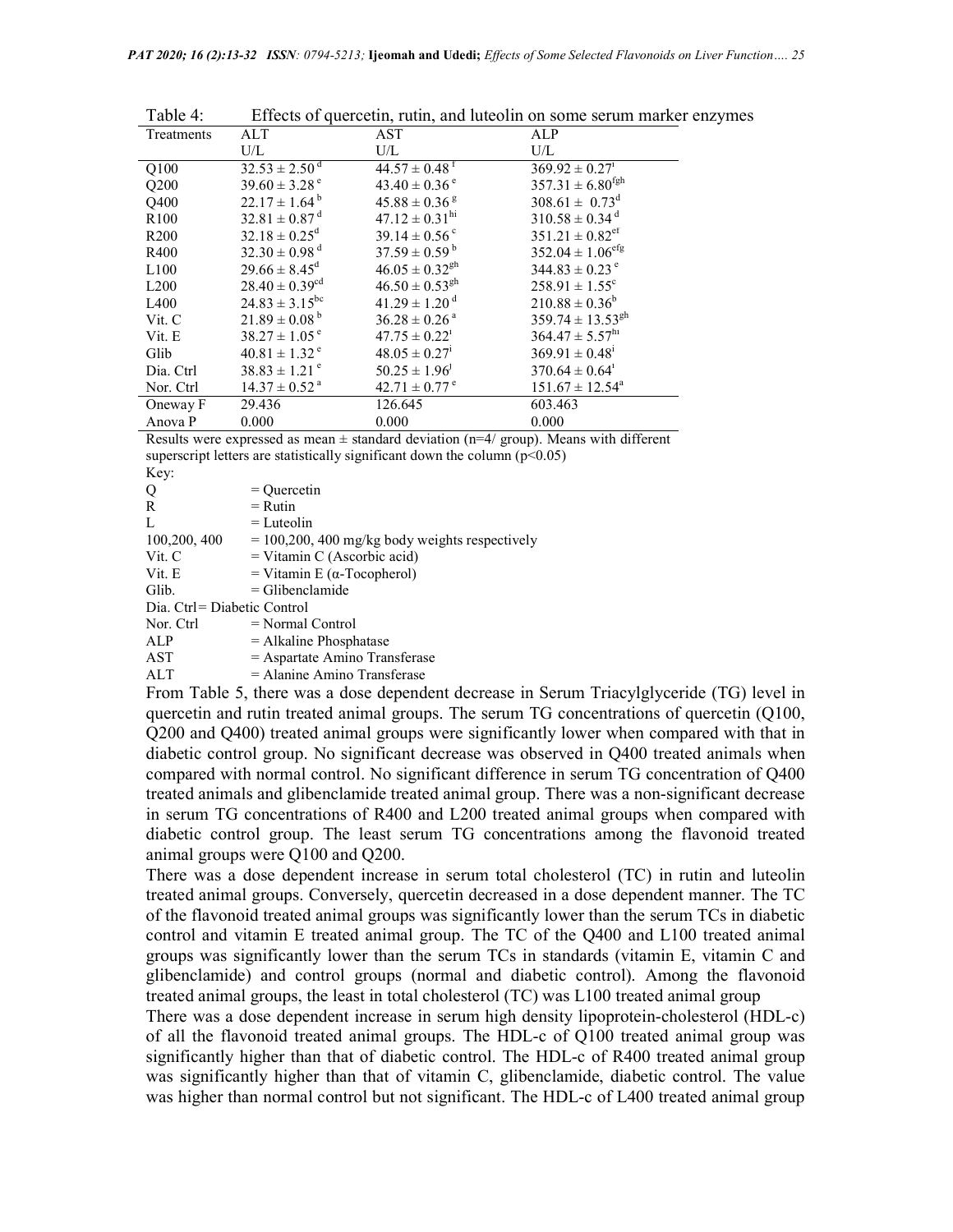| Table 4:         |                                |                                | Effects of quercetin, rutin, and luteolin on some serum marker enzymes |
|------------------|--------------------------------|--------------------------------|------------------------------------------------------------------------|
| Treatments       | ALT                            | AST                            | ALP                                                                    |
|                  | $\rm U/L$                      | U/L                            | $\rm U/L$                                                              |
| Q100             | $32.53 \pm 2.50$ <sup>d</sup>  | $44.57 \pm 0.48^{\text{t}}$    | $369.92 \pm 0.27$ <sup>1</sup>                                         |
| Q200             | $39.60 \pm 3.28$ <sup>e</sup>  | $43.40 \pm 0.36$ <sup>e</sup>  | $357.31 \pm 6.80$ <sup>fgh</sup>                                       |
| Q400             | $22.17 \pm 1.64^{\mathrm{b}}$  | $45.88 \pm 0.36$ s             | $308.61 \pm 0.73^d$                                                    |
| R <sub>100</sub> | $32.81 \pm 0.87$ <sup>d</sup>  | $47.12 \pm 0.31$ <sup>hi</sup> | $310.58 \pm 0.34$ <sup>d</sup>                                         |
| R <sub>200</sub> | $32.18 \pm 0.25^{\rm d}$       | $39.14 \pm 0.56$ <sup>c</sup>  | $351.21 \pm 0.82$ <sup>ef</sup>                                        |
| R400             | $32.30 \pm 0.98$ <sup>d</sup>  | $37.59 \pm 0.59^{\mathrm{b}}$  | $352.04 \pm 1.06^{\text{eff}}$                                         |
| L100             | $29.66 \pm 8.45^{\text{d}}$    | $46.05 \pm 0.32$ <sup>gh</sup> | $344.83 \pm 0.23$ <sup>e</sup>                                         |
| L <sub>200</sub> | $28.40 \pm 0.39$ <sup>cd</sup> | $46.50 \pm 0.53$ <sup>gh</sup> | $258.91 \pm 1.55$ <sup>c</sup>                                         |
| L400             | $24.83 \pm 3.15^{bc}$          | $41.29 \pm 1.20$ <sup>d</sup>  | $210.88 \pm 0.36^b$                                                    |
| Vit. C           | $21.89 \pm 0.08^{\mathrm{b}}$  | $36.28 \pm 0.26$ <sup>a</sup>  | $359.74 \pm 13.53^{gh}$                                                |
| Vit. E           | $38.27 \pm 1.05^{\circ}$       | $47.75 \pm 0.22^i$             | $364.47 \pm 5.57^{\text{hi}}$                                          |
| Glib             | $40.81 \pm 1.32$ <sup>e</sup>  | $48.05 \pm 0.27$ <sup>1</sup>  | $369.91 \pm 0.48^{\mathrm{i}}$                                         |
| Dia. Ctrl        | $38.83 \pm 1.21$ <sup>e</sup>  | $50.25 \pm 1.96$ <sup>1</sup>  | $370.64 \pm 0.64$ <sup>1</sup>                                         |
| Nor. Ctrl        | $14.37 \pm 0.52$ <sup>a</sup>  | $42.71 \pm 0.77$ <sup>e</sup>  | $151.67 \pm 12.54^{\circ}$                                             |
| Oneway F         | 29.436                         | 126.645                        | 603.463                                                                |
| Anova P          | 0.000                          | 0.000                          | 0.000                                                                  |

Results were expressed as mean  $\pm$  standard deviation (n=4/ group). Means with different superscript letters are statistically significant down the column  $(p<0.05)$  $\overline{V}_{\alpha v}$ 

| $I\mathcal{L} \cup \mathcal{V}$ |                                                 |
|---------------------------------|-------------------------------------------------|
| Q                               | $=$ Ouercetin                                   |
| R                               | $=$ Rutin                                       |
| L                               | $=$ Luteolin                                    |
| 100,200, 400                    | $= 100,200,400$ mg/kg body weights respectively |
| Vit. C                          | $=$ Vitamin C (Ascorbic acid)                   |
| Vit. E                          | = Vitamin E ( $\alpha$ -Tocopherol)             |
| Glib.                           | $=$ Glibenclamide                               |
| Dia. Ctrl= Diabetic Control     |                                                 |
| Nor. Ctrl                       | $=$ Normal Control                              |
| ALP                             | $=$ Alkaline Phosphatase                        |
| AST                             | = Aspartate Amino Transferase                   |
| ALT                             | $=$ Alanine Amino Transferase                   |

From Table 5, there was a dose dependent decrease in Serum Triacylglyceride (TG) level in quercetin and rutin treated animal groups. The serum TG concentrations of quercetin (Q100, Q200 and Q400) treated animal groups were significantly lower when compared with that in diabetic control group. No significant decrease was observed in Q400 treated animals when compared with normal control. No significant difference in serum TG concentration of Q400 treated animals and glibenclamide treated animal group. There was a non-significant decrease in serum TG concentrations of R400 and L200 treated animal groups when compared with diabetic control group. The least serum TG concentrations among the flavonoid treated animal groups were Q100 and Q200.

There was a dose dependent increase in serum total cholesterol (TC) in rutin and luteolin treated animal groups. Conversely, quercetin decreased in a dose dependent manner. The TC of the flavonoid treated animal groups was significantly lower than the serum TCs in diabetic control and vitamin E treated animal group. The TC of the Q400 and L100 treated animal groups was significantly lower than the serum TCs in standards (vitamin E, vitamin C and glibenclamide) and control groups (normal and diabetic control). Among the flavonoid treated animal groups, the least in total cholesterol (TC) was L100 treated animal group

There was a dose dependent increase in serum high density lipoprotein-cholesterol (HDL-c) of all the flavonoid treated animal groups. The HDL-c of Q100 treated animal group was significantly higher than that of diabetic control. The HDL-c of R400 treated animal group was significantly higher than that of vitamin C, glibenclamide, diabetic control. The value was higher than normal control but not significant. The HDL-c of L400 treated animal group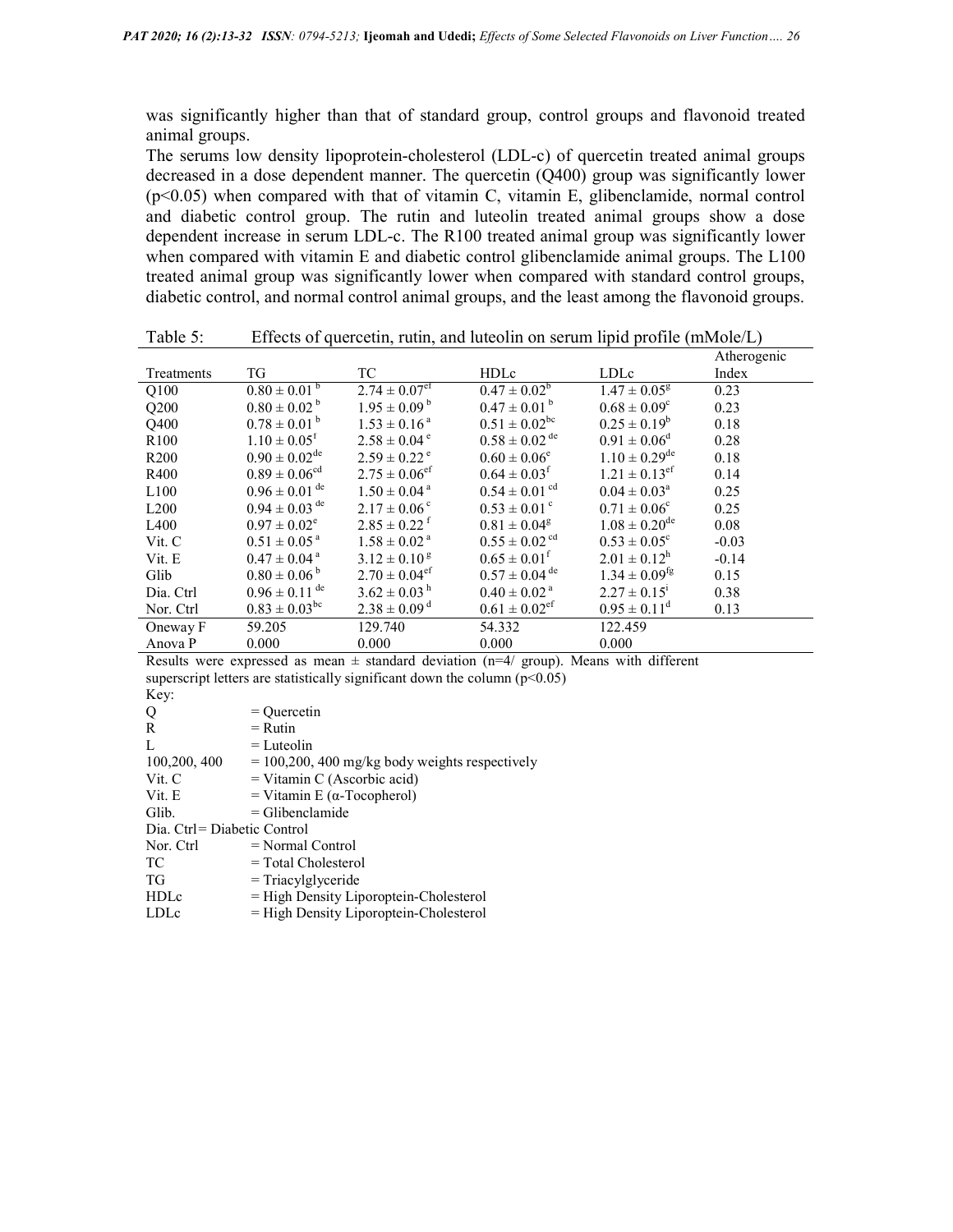was significantly higher than that of standard group, control groups and flavonoid treated animal groups.

The serums low density lipoprotein-cholesterol (LDL-c) of quercetin treated animal groups decreased in a dose dependent manner. The quercetin (Q400) group was significantly lower (p<0.05) when compared with that of vitamin C, vitamin E, glibenclamide, normal control and diabetic control group. The rutin and luteolin treated animal groups show a dose dependent increase in serum LDL-c. The R100 treated animal group was significantly lower when compared with vitamin E and diabetic control glibenclamide animal groups. The L100 treated animal group was significantly lower when compared with standard control groups, diabetic control, and normal control animal groups, and the least among the flavonoid groups.

| Atherogenic<br>TG<br><b>HDLc</b><br>TC<br>LDLc<br>Index<br>Treatments                                                                           |  |
|-------------------------------------------------------------------------------------------------------------------------------------------------|--|
| $2.74 \pm 0.07$ <sup>ef</sup><br>$0.47 \pm 0.02^b$<br>$0.80 \pm 0.01^{b}$<br>$1.47 \pm 0.05^8$<br>0.23<br>Q100                                  |  |
| $0.47 \pm 0.01^{\text{ b}}$<br>$0.80 \pm 0.02^{\text{ b}}$<br>$1.95 \pm 0.09^{\mathrm{b}}$<br>$0.68 \pm 0.09^{\circ}$<br>Q200<br>0.23           |  |
| $0.51 \pm 0.02^{\rm bc}$<br>$0.78 \pm 0.01^{\text{ b}}$<br>$0.25 \pm 0.19^b$<br>$1.53 \pm 0.16^{\text{a}}$<br>0.18<br>Q400                      |  |
| $0.58\pm0.02$ $^{\rm de}$<br>$1.10 \pm 0.05$ <sup>f</sup><br>$0.91 \pm 0.06^d$<br>$2.58 \pm 0.04$ <sup>e</sup><br>0.28<br>R <sub>100</sub>      |  |
| $0.90 \pm 0.02^{\rm de}$<br>$1.10 \pm 0.29^{\text{de}}$<br>$2.59 \pm 0.22$ <sup>e</sup><br>$0.60 \pm 0.06^e$<br>0.18<br>R <sub>200</sub>        |  |
| $0.89 \pm 0.06^{\rm cd}$<br>$2.75 \pm 0.06$ <sup>ef</sup><br>$1.21 \pm 0.13$ <sup>ef</sup><br>$0.64 \pm 0.03$ <sup>f</sup><br>0.14<br>R400      |  |
| $0.96 \pm 0.01$ <sup>de</sup><br>$0.54 \pm 0.01$ <sup>cd</sup><br>$1.50 \pm 0.04$ <sup>a</sup><br>$0.04 \pm 0.03^{\circ}$<br>0.25<br>L100       |  |
| $0.94 \pm 0.03$ <sup>de</sup><br>$0.53 \pm 0.01$ <sup>c</sup><br>$2.17 \pm 0.06^{\circ}$<br>$0.71 \pm 0.06^{\circ}$<br>0.25<br>L200             |  |
| $1.08 \pm 0.20^{\rm de}$<br>$2.85 \pm 0.22$ <sup>f</sup><br>$0.97 \pm 0.02^e$<br>$0.81 \pm 0.04^{\rm g}$<br>L <sub>400</sub><br>0.08            |  |
| $0.55 \pm 0.02$ <sup>cd</sup><br>$0.51 \pm 0.05^{\text{ a}}$<br>$1.58 \pm 0.02$ <sup>a</sup><br>$0.53 \pm 0.05^{\circ}$<br>Vit. C<br>$-0.03$    |  |
| $0.65 \pm 0.01^{\rm f}$<br>$2.01 \pm 0.12^{\rm h}$<br>$0.47 \pm 0.04^{\text{ a}}$<br>$3.12 \pm 0.10^8$<br>$-0.14$<br>Vit. E                     |  |
| $0.57 \pm 0.04$ <sup>de</sup><br>$0.80 \pm 0.06^{\mathrm{b}}$<br>$2.70 \pm 0.04$ <sup>ef</sup><br>$1.34 \pm 0.09$ <sup>tg</sup><br>Glib<br>0.15 |  |
| $0.96 \pm 0.11$ <sup>de</sup><br>$3.62 \pm 0.03$ <sup>h</sup><br>$0.40\pm0.02$ a<br>$2.27 \pm 0.15$ <sup>1</sup><br>0.38<br>Dia. Ctrl           |  |
| $0.83 \pm 0.03^{\rm bc}$<br>$2.38 \pm 0.09$ <sup>d</sup><br>$0.61 \pm 0.02$ <sup>et</sup><br>$0.95 \pm 0.11^{\circ}$<br>0.13<br>Nor. Ctrl       |  |
| 122.459<br>59.205<br>129.740<br>54.332<br>Oneway F                                                                                              |  |
| 0.000<br>0.000<br>0.000<br>Anova P<br>0.000                                                                                                     |  |

Table 5: Effects of quercetin, rutin, and luteolin on serum lipid profile (mMole/L)

Results were expressed as mean  $\pm$  standard deviation (n=4/ group). Means with different superscript letters are statistically significant down the column  $(p<0.05)$ Key:  $Q = Q$ uercetin<br>  $R = R$ utin  $=$  Rutin

| $\mathbf{v}$                | ,,,,,,,,                                        |
|-----------------------------|-------------------------------------------------|
| L                           | $=$ Luteolin                                    |
| 100,200, 400                | $= 100,200,400$ mg/kg body weights respectively |
| Vit. C                      | $=$ Vitamin C (Ascorbic acid)                   |
| Vit. E                      | = Vitamin E ( $\alpha$ -Tocopherol)             |
| Glib.                       | $=$ Glibenclamide                               |
| Dia. Ctrl= Diabetic Control |                                                 |
| Nor. Ctrl                   | $=$ Normal Control                              |
| TC.                         | $=$ Total Cholesterol                           |
| TG                          | $=$ Triacylglyceride                            |
| <b>HDLc</b>                 | = High Density Liporoptein-Cholesterol          |
| LDLc                        | $=$ High Density Liporoptein-Cholesterol        |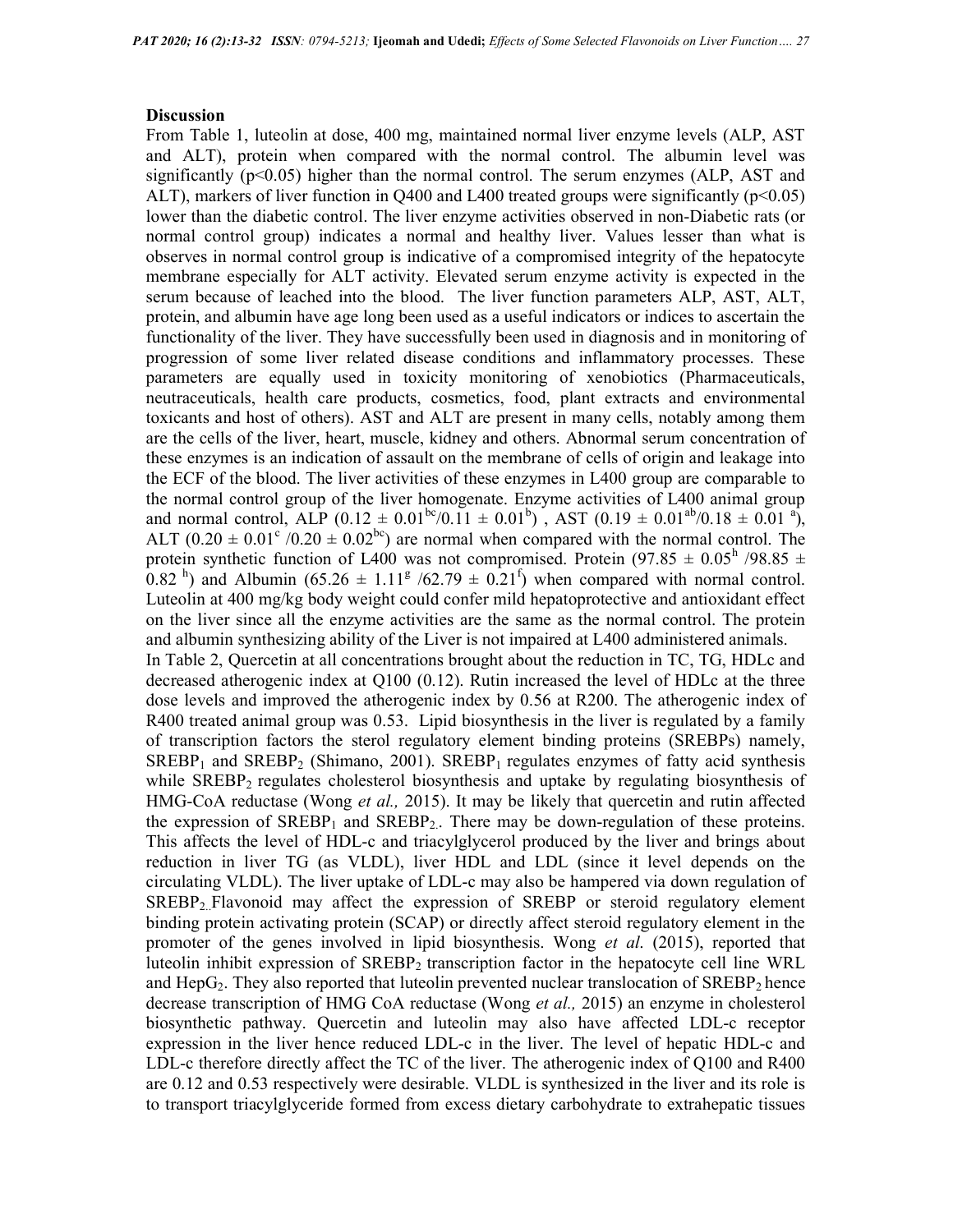#### **Discussion**

From Table 1, luteolin at dose, 400 mg, maintained normal liver enzyme levels (ALP, AST and ALT), protein when compared with the normal control. The albumin level was significantly  $(p<0.05)$  higher than the normal control. The serum enzymes (ALP, AST and ALT), markers of liver function in  $Q400$  and L400 treated groups were significantly ( $p<0.05$ ) lower than the diabetic control. The liver enzyme activities observed in non-Diabetic rats (or normal control group) indicates a normal and healthy liver. Values lesser than what is observes in normal control group is indicative of a compromised integrity of the hepatocyte membrane especially for ALT activity. Elevated serum enzyme activity is expected in the serum because of leached into the blood. The liver function parameters ALP, AST, ALT, protein, and albumin have age long been used as a useful indicators or indices to ascertain the functionality of the liver. They have successfully been used in diagnosis and in monitoring of progression of some liver related disease conditions and inflammatory processes. These parameters are equally used in toxicity monitoring of xenobiotics (Pharmaceuticals, neutraceuticals, health care products, cosmetics, food, plant extracts and environmental toxicants and host of others). AST and ALT are present in many cells, notably among them are the cells of the liver, heart, muscle, kidney and others. Abnormal serum concentration of these enzymes is an indication of assault on the membrane of cells of origin and leakage into the ECF of the blood. The liver activities of these enzymes in L400 group are comparable to the normal control group of the liver homogenate. Enzyme activities of L400 animal group and normal control, ALP  $(0.12 \pm 0.01^{b\circ}/0.11 \pm 0.01^{b})$ , AST  $(0.19 \pm 0.01^{a\circ}/0.18 \pm 0.01^{a})$ , ALT  $(0.20 \pm 0.01^{\circ}/0.20 \pm 0.02^{\circ})$  are normal when compared with the normal control. The protein synthetic function of L400 was not compromised. Protein (97.85  $\pm$  0.05<sup>h</sup> /98.85  $\pm$  $(0.82<sup>h</sup>)$  and Albumin  $(65.26 \pm 1.11<sup>g</sup> / 62.79 \pm 0.21<sup>f</sup>)$  when compared with normal control. Luteolin at 400 mg/kg body weight could confer mild hepatoprotective and antioxidant effect on the liver since all the enzyme activities are the same as the normal control. The protein and albumin synthesizing ability of the Liver is not impaired at L400 administered animals. In Table 2, Quercetin at all concentrations brought about the reduction in TC, TG, HDLc and decreased atherogenic index at Q100 (0.12). Rutin increased the level of HDLc at the three dose levels and improved the atherogenic index by 0.56 at R200. The atherogenic index of R400 treated animal group was 0.53. Lipid biosynthesis in the liver is regulated by a family of transcription factors the sterol regulatory element binding proteins (SREBPs) namely,  $SREBP<sub>1</sub>$  and  $SREBP<sub>2</sub>$  (Shimano, 2001).  $SREBP<sub>1</sub>$  regulates enzymes of fatty acid synthesis while  $SREBP<sub>2</sub>$  regulates cholesterol biosynthesis and uptake by regulating biosynthesis of HMG-CoA reductase (Wong et al., 2015). It may be likely that quercetin and rutin affected the expression of  $SREBP<sub>1</sub>$  and  $SREBP<sub>2</sub>$ . There may be down-regulation of these proteins. This affects the level of HDL-c and triacylglycerol produced by the liver and brings about reduction in liver TG (as VLDL), liver HDL and LDL (since it level depends on the circulating VLDL). The liver uptake of LDL-c may also be hampered via down regulation of SREBP<sub>2.</sub>Flavonoid may affect the expression of SREBP or steroid regulatory element binding protein activating protein (SCAP) or directly affect steroid regulatory element in the promoter of the genes involved in lipid biosynthesis. Wong *et al.* (2015), reported that luteolin inhibit expression of SREBP2 transcription factor in the hepatocyte cell line WRL and  $\text{HepG}_2$ . They also reported that luteolin prevented nuclear translocation of  $\text{SREBP}_2$  hence decrease transcription of HMG CoA reductase (Wong et al., 2015) an enzyme in cholesterol biosynthetic pathway. Quercetin and luteolin may also have affected LDL-c receptor expression in the liver hence reduced LDL-c in the liver. The level of hepatic HDL-c and LDL-c therefore directly affect the TC of the liver. The atherogenic index of Q100 and R400 are 0.12 and 0.53 respectively were desirable. VLDL is synthesized in the liver and its role is to transport triacylglyceride formed from excess dietary carbohydrate to extrahepatic tissues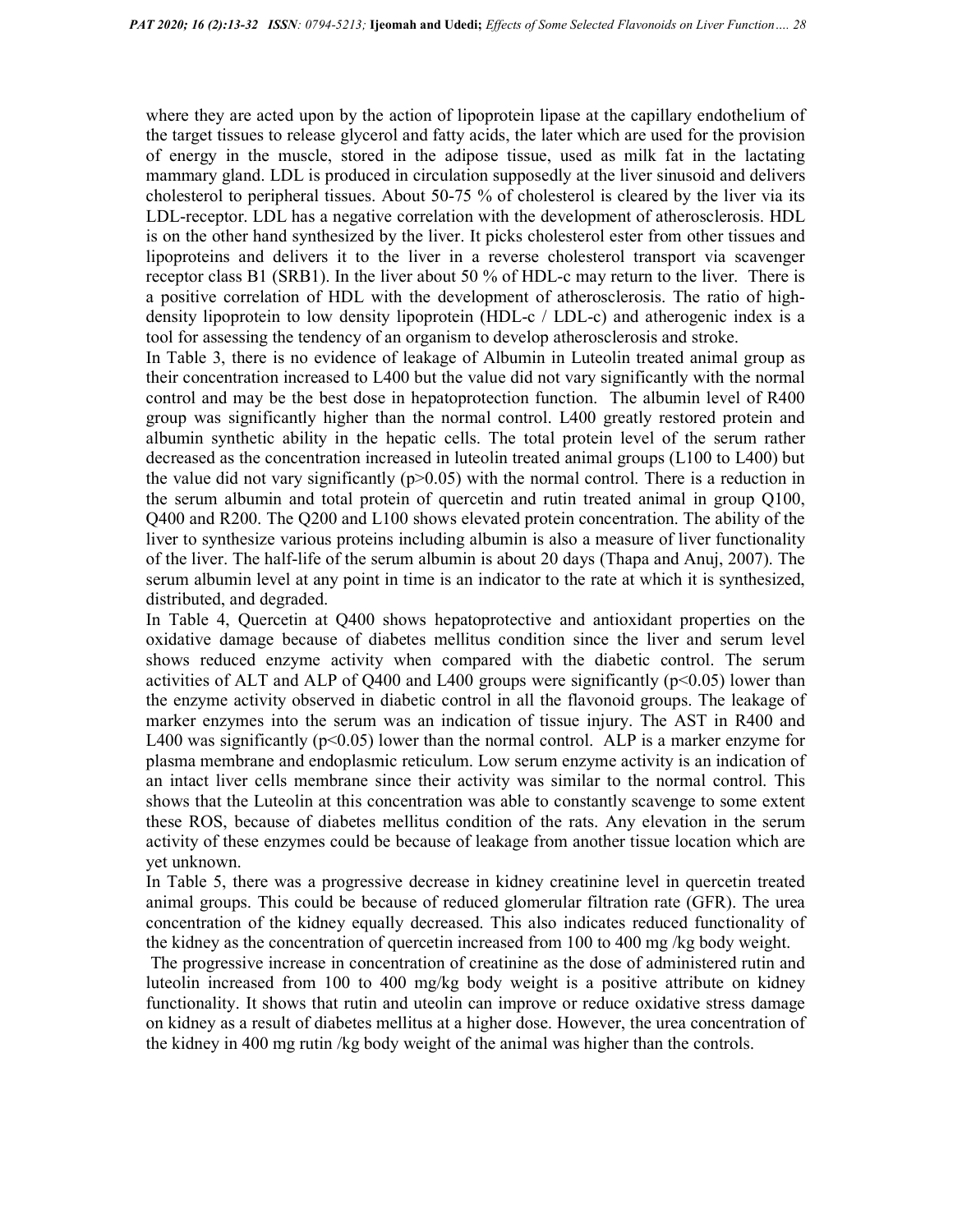where they are acted upon by the action of lipoprotein lipase at the capillary endothelium of the target tissues to release glycerol and fatty acids, the later which are used for the provision of energy in the muscle, stored in the adipose tissue, used as milk fat in the lactating mammary gland. LDL is produced in circulation supposedly at the liver sinusoid and delivers cholesterol to peripheral tissues. About 50-75 % of cholesterol is cleared by the liver via its LDL-receptor. LDL has a negative correlation with the development of atherosclerosis. HDL is on the other hand synthesized by the liver. It picks cholesterol ester from other tissues and lipoproteins and delivers it to the liver in a reverse cholesterol transport via scavenger receptor class B1 (SRB1). In the liver about 50 % of HDL-c may return to the liver. There is a positive correlation of HDL with the development of atherosclerosis. The ratio of highdensity lipoprotein to low density lipoprotein (HDL-c / LDL-c) and atherogenic index is a tool for assessing the tendency of an organism to develop atherosclerosis and stroke.

In Table 3, there is no evidence of leakage of Albumin in Luteolin treated animal group as their concentration increased to L400 but the value did not vary significantly with the normal control and may be the best dose in hepatoprotection function. The albumin level of R400 group was significantly higher than the normal control. L400 greatly restored protein and albumin synthetic ability in the hepatic cells. The total protein level of the serum rather decreased as the concentration increased in luteolin treated animal groups (L100 to L400) but the value did not vary significantly  $(p>0.05)$  with the normal control. There is a reduction in the serum albumin and total protein of quercetin and rutin treated animal in group Q100, Q400 and R200. The Q200 and L100 shows elevated protein concentration. The ability of the liver to synthesize various proteins including albumin is also a measure of liver functionality of the liver. The half-life of the serum albumin is about 20 days (Thapa and Anuj, 2007). The serum albumin level at any point in time is an indicator to the rate at which it is synthesized, distributed, and degraded.

In Table 4, Quercetin at Q400 shows hepatoprotective and antioxidant properties on the oxidative damage because of diabetes mellitus condition since the liver and serum level shows reduced enzyme activity when compared with the diabetic control. The serum activities of ALT and ALP of Q400 and L400 groups were significantly  $(p<0.05)$  lower than the enzyme activity observed in diabetic control in all the flavonoid groups. The leakage of marker enzymes into the serum was an indication of tissue injury. The AST in R400 and L400 was significantly ( $p<0.05$ ) lower than the normal control. ALP is a marker enzyme for plasma membrane and endoplasmic reticulum. Low serum enzyme activity is an indication of an intact liver cells membrane since their activity was similar to the normal control. This shows that the Luteolin at this concentration was able to constantly scavenge to some extent these ROS, because of diabetes mellitus condition of the rats. Any elevation in the serum activity of these enzymes could be because of leakage from another tissue location which are yet unknown.

In Table 5, there was a progressive decrease in kidney creatinine level in quercetin treated animal groups. This could be because of reduced glomerular filtration rate (GFR). The urea concentration of the kidney equally decreased. This also indicates reduced functionality of the kidney as the concentration of quercetin increased from 100 to 400 mg /kg body weight.

 The progressive increase in concentration of creatinine as the dose of administered rutin and luteolin increased from 100 to 400 mg/kg body weight is a positive attribute on kidney functionality. It shows that rutin and uteolin can improve or reduce oxidative stress damage on kidney as a result of diabetes mellitus at a higher dose. However, the urea concentration of the kidney in 400 mg rutin /kg body weight of the animal was higher than the controls.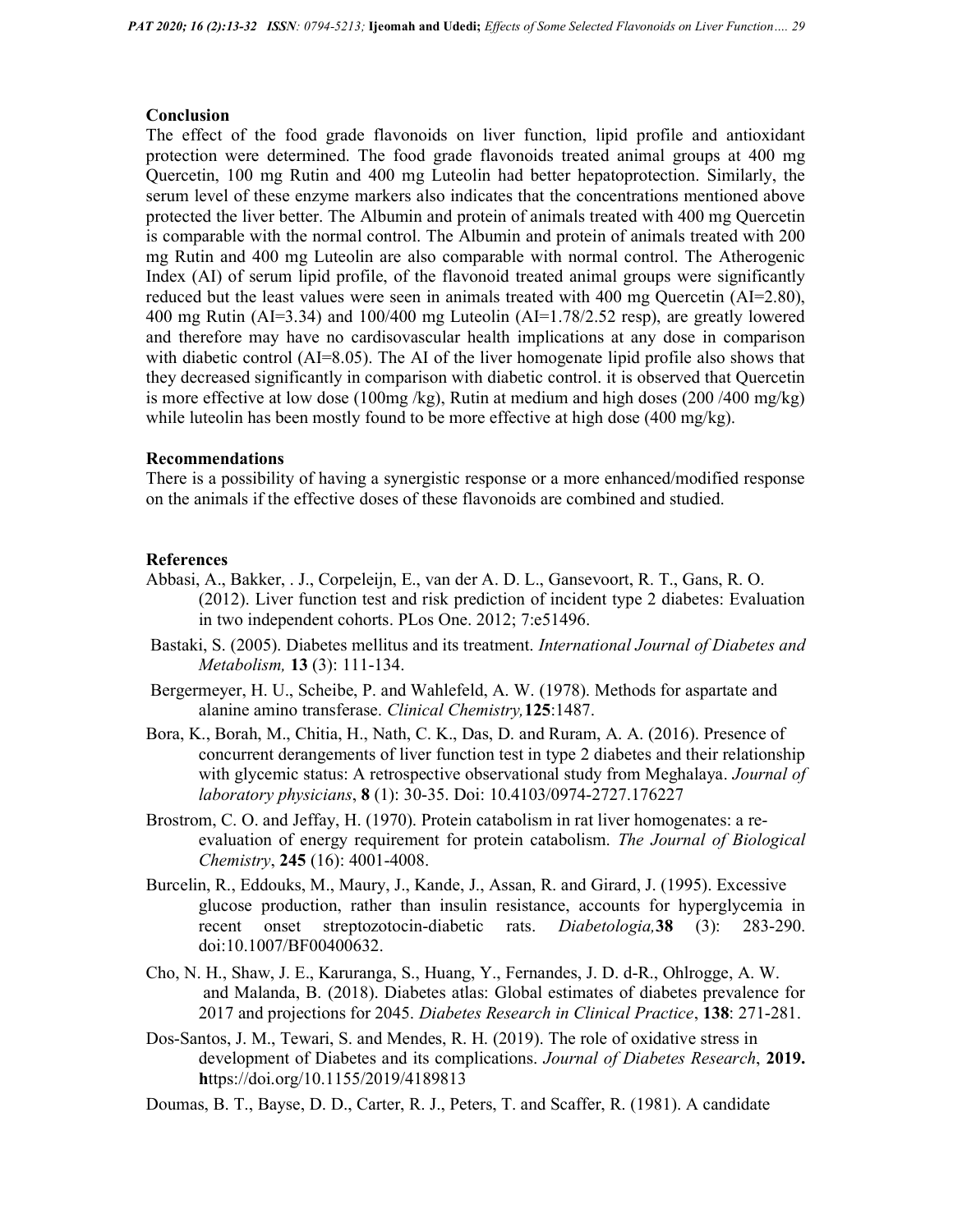#### Conclusion

The effect of the food grade flavonoids on liver function, lipid profile and antioxidant protection were determined. The food grade flavonoids treated animal groups at 400 mg Quercetin, 100 mg Rutin and 400 mg Luteolin had better hepatoprotection. Similarly, the serum level of these enzyme markers also indicates that the concentrations mentioned above protected the liver better. The Albumin and protein of animals treated with 400 mg Quercetin is comparable with the normal control. The Albumin and protein of animals treated with 200 mg Rutin and 400 mg Luteolin are also comparable with normal control. The Atherogenic Index (AI) of serum lipid profile, of the flavonoid treated animal groups were significantly reduced but the least values were seen in animals treated with 400 mg Quercetin (AI=2.80), 400 mg Rutin (AI=3.34) and  $100/400$  mg Luteolin (AI=1.78/2.52 resp), are greatly lowered and therefore may have no cardisovascular health implications at any dose in comparison with diabetic control (AI=8.05). The AI of the liver homogenate lipid profile also shows that they decreased significantly in comparison with diabetic control. it is observed that Quercetin is more effective at low dose (100mg/kg), Rutin at medium and high doses (200/400 mg/kg) while luteolin has been mostly found to be more effective at high dose  $(400 \text{ mg/kg})$ .

#### Recommendations

There is a possibility of having a synergistic response or a more enhanced/modified response on the animals if the effective doses of these flavonoids are combined and studied.

#### References

- Abbasi, A., Bakker, . J., Corpeleijn, E., van der A. D. L., Gansevoort, R. T., Gans, R. O. (2012). Liver function test and risk prediction of incident type 2 diabetes: Evaluation in two independent cohorts. PLos One. 2012; 7:e51496.
- Bastaki, S. (2005). Diabetes mellitus and its treatment. International Journal of Diabetes and Metabolism, 13 (3): 111-134.
- Bergermeyer, H. U., Scheibe, P. and Wahlefeld, A. W. (1978). Methods for aspartate and alanine amino transferase. Clinical Chemistry,125:1487.
- Bora, K., Borah, M., Chitia, H., Nath, C. K., Das, D. and Ruram, A. A. (2016). Presence of concurrent derangements of liver function test in type 2 diabetes and their relationship with glycemic status: A retrospective observational study from Meghalaya. *Journal of* laboratory physicians, 8 (1): 30-35. Doi: 10.4103/0974-2727.176227
- Brostrom, C. O. and Jeffay, H. (1970). Protein catabolism in rat liver homogenates: a reevaluation of energy requirement for protein catabolism. The Journal of Biological Chemistry, 245 (16): 4001-4008.
- Burcelin, R., Eddouks, M., Maury, J., Kande, J., Assan, R. and Girard, J. (1995). Excessive glucose production, rather than insulin resistance, accounts for hyperglycemia in recent onset streptozotocin-diabetic rats. Diabetologia,38 (3): 283-290. doi:10.1007/BF00400632.
- Cho, N. H., Shaw, J. E., Karuranga, S., Huang, Y., Fernandes, J. D. d-R., Ohlrogge, A. W. and Malanda, B. (2018). Diabetes atlas: Global estimates of diabetes prevalence for 2017 and projections for 2045. Diabetes Research in Clinical Practice, 138: 271-281.
- Dos-Santos, J. M., Tewari, S. and Mendes, R. H. (2019). The role of oxidative stress in development of Diabetes and its complications. Journal of Diabetes Research, 2019. https://doi.org/10.1155/2019/4189813
- Doumas, B. T., Bayse, D. D., Carter, R. J., Peters, T. and Scaffer, R. (1981). A candidate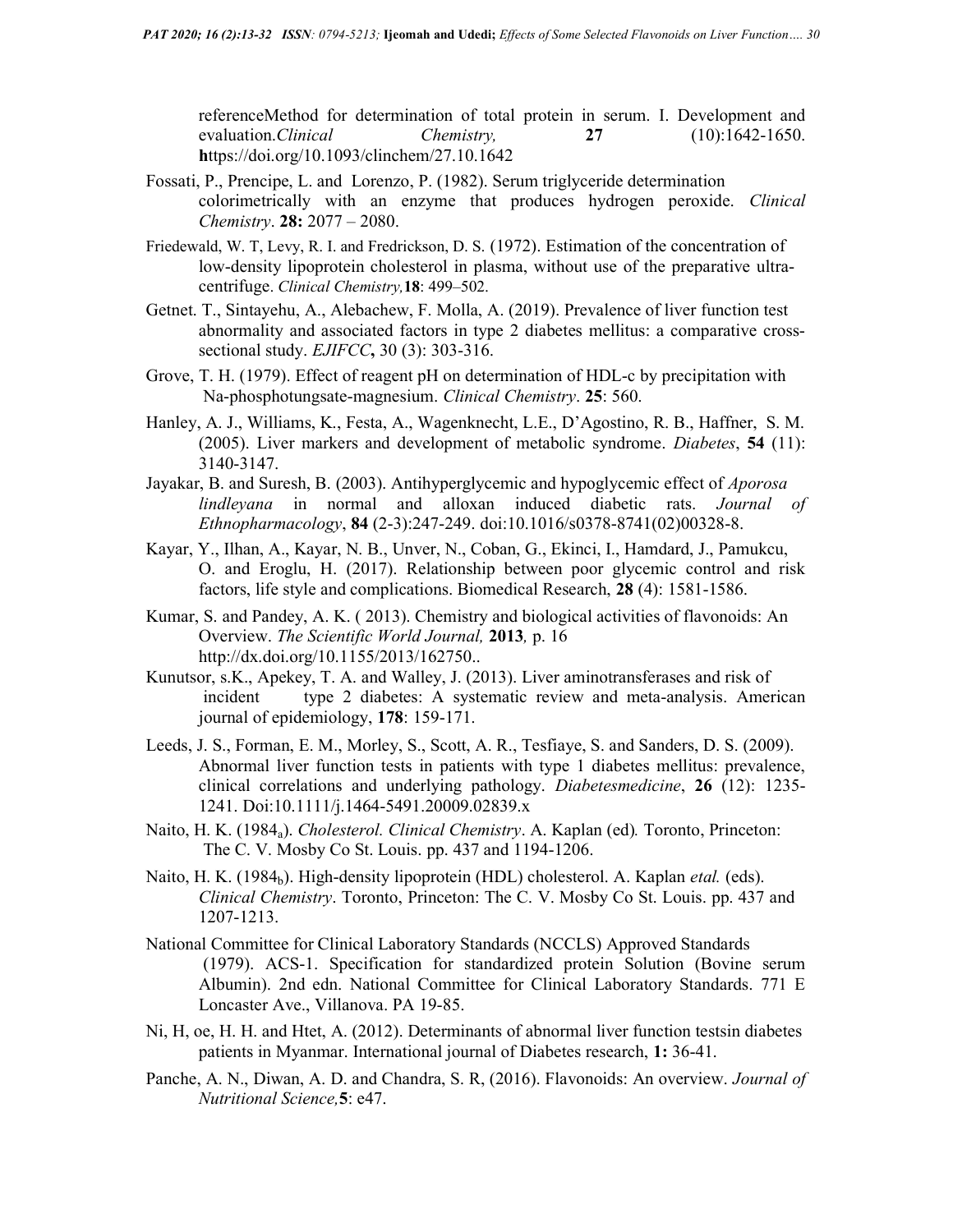referenceMethod for determination of total protein in serum. I. Development and evaluation.*Clinical Chemistry*, 27 (10):1642-1650. https://doi.org/10.1093/clinchem/27.10.1642

- Fossati, P., Prencipe, L. and Lorenzo, P. (1982). Serum triglyceride determination colorimetrically with an enzyme that produces hydrogen peroxide. Clinical Chemistry. 28: 2077 – 2080.
- Friedewald, W. T, Levy, R. I. and Fredrickson, D. S. (1972). Estimation of the concentration of low-density lipoprotein cholesterol in plasma, without use of the preparative ultracentrifuge. Clinical Chemistry,18: 499–502.
- Getnet. T., Sintayehu, A., Alebachew, F. Molla, A. (2019). Prevalence of liver function test abnormality and associated factors in type 2 diabetes mellitus: a comparative crosssectional study. *EJIFCC*, 30 (3): 303-316.
- Grove, T. H. (1979). Effect of reagent pH on determination of HDL-c by precipitation with Na-phosphotungsate-magnesium. Clinical Chemistry. 25: 560.
- Hanley, A. J., Williams, K., Festa, A., Wagenknecht, L.E., D'Agostino, R. B., Haffner, S. M. (2005). Liver markers and development of metabolic syndrome. Diabetes, 54 (11): 3140-3147.
- Jayakar, B. and Suresh, B. (2003). Antihyperglycemic and hypoglycemic effect of *Aporosa* lindleyana in normal and alloxan induced diabetic rats. Journal of Ethnopharmacology, 84 (2-3):247-249. doi:10.1016/s0378-8741(02)00328-8.
- Kayar, Y., Ilhan, A., Kayar, N. B., Unver, N., Coban, G., Ekinci, I., Hamdard, J., Pamukcu, O. and Eroglu, H. (2017). Relationship between poor glycemic control and risk factors, life style and complications. Biomedical Research, 28 (4): 1581-1586.
- Kumar, S. and Pandey, A. K. ( 2013). Chemistry and biological activities of flavonoids: An Overview. The Scientific World Journal, 2013, p. 16 http://dx.doi.org/10.1155/2013/162750..
- Kunutsor, s.K., Apekey, T. A. and Walley, J. (2013). Liver aminotransferases and risk of incident type 2 diabetes: A systematic review and meta-analysis. American journal of epidemiology, 178: 159-171.
- Leeds, J. S., Forman, E. M., Morley, S., Scott, A. R., Tesfiaye, S. and Sanders, D. S. (2009). Abnormal liver function tests in patients with type 1 diabetes mellitus: prevalence, clinical correlations and underlying pathology. Diabetesmedicine, 26 (12): 1235- 1241. Doi:10.1111/j.1464-5491.20009.02839.x
- Naito, H. K. (1984<sub>a</sub>). Cholesterol. Clinical Chemistry. A. Kaplan (ed). Toronto, Princeton: The C. V. Mosby Co St. Louis. pp. 437 and 1194-1206.
- Naito, H. K. (1984<sub>b</sub>). High-density lipoprotein (HDL) cholesterol. A. Kaplan *etal.* (eds). Clinical Chemistry. Toronto, Princeton: The C. V. Mosby Co St. Louis. pp. 437 and 1207-1213.
- National Committee for Clinical Laboratory Standards (NCCLS) Approved Standards (1979). ACS-1. Specification for standardized protein Solution (Bovine serum Albumin). 2nd edn. National Committee for Clinical Laboratory Standards. 771 E Loncaster Ave., Villanova. PA 19-85.
- Ni, H, oe, H. H. and Htet, A. (2012). Determinants of abnormal liver function testsin diabetes patients in Myanmar. International journal of Diabetes research, 1: 36-41.
- Panche, A. N., Diwan, A. D. and Chandra, S. R, (2016). Flavonoids: An overview. Journal of Nutritional Science,5: e47.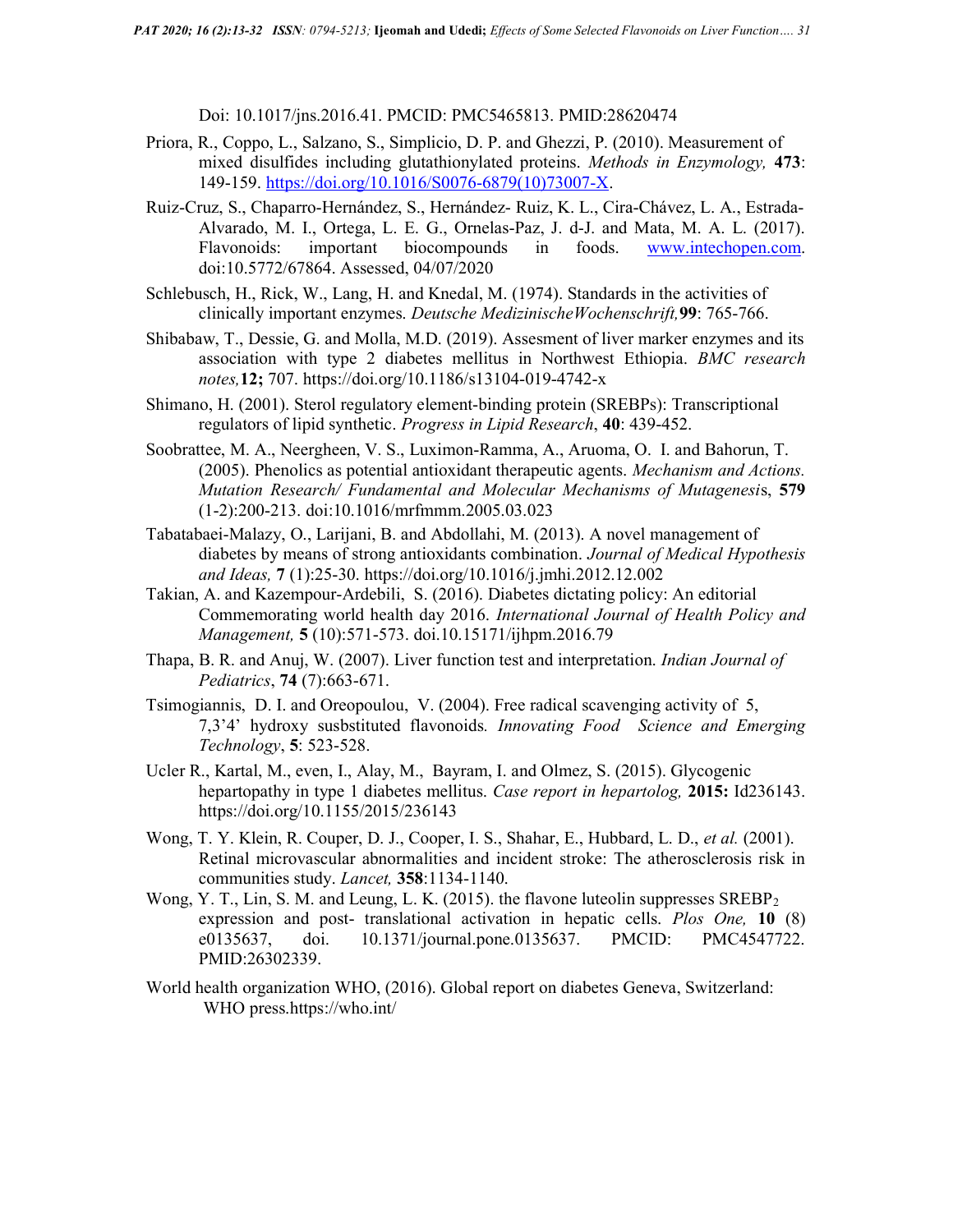Doi: 10.1017/jns.2016.41. PMCID: PMC5465813. PMID:28620474

- Priora, R., Coppo, L., Salzano, S., Simplicio, D. P. and Ghezzi, P. (2010). Measurement of mixed disulfides including glutathionylated proteins. Methods in Enzymology, 473: 149-159. https://doi.org/10.1016/S0076-6879(10)73007-X.
- Ruiz-Cruz, S., Chaparro-Hernández, S., Hernández- Ruiz, K. L., Cira-Chávez, L. A., Estrada-Alvarado, M. I., Ortega, L. E. G., Ornelas-Paz, J. d-J. and Mata, M. A. L. (2017). Flavonoids: important biocompounds in foods. www.intechopen.com. doi:10.5772/67864. Assessed, 04/07/2020
- Schlebusch, H., Rick, W., Lang, H. and Knedal, M. (1974). Standards in the activities of clinically important enzymes. Deutsche MedizinischeWochenschrift,99: 765-766.
- Shibabaw, T., Dessie, G. and Molla, M.D. (2019). Assesment of liver marker enzymes and its association with type 2 diabetes mellitus in Northwest Ethiopia. BMC research notes,12; 707. https://doi.org/10.1186/s13104-019-4742-x
- Shimano, H. (2001). Sterol regulatory element-binding protein (SREBPs): Transcriptional regulators of lipid synthetic. Progress in Lipid Research, 40: 439-452.
- Soobrattee, M. A., Neergheen, V. S., Luximon-Ramma, A., Aruoma, O. I. and Bahorun, T. (2005). Phenolics as potential antioxidant therapeutic agents. Mechanism and Actions. Mutation Research/ Fundamental and Molecular Mechanisms of Mutagenesis, 579 (1-2):200-213. doi:10.1016/mrfmmm.2005.03.023
- Tabatabaei-Malazy, O., Larijani, B. and Abdollahi, M. (2013). A novel management of diabetes by means of strong antioxidants combination. Journal of Medical Hypothesis and Ideas, 7 (1):25-30. https://doi.org/10.1016/j.jmhi.2012.12.002
- Takian, A. and Kazempour-Ardebili, S. (2016). Diabetes dictating policy: An editorial Commemorating world health day 2016. International Journal of Health Policy and Management, 5 (10):571-573. doi.10.15171/ijhpm.2016.79
- Thapa, B. R. and Anuj, W. (2007). Liver function test and interpretation. Indian Journal of Pediatrics, 74 (7):663-671.
- Tsimogiannis, D. I. and Oreopoulou, V. (2004). Free radical scavenging activity of 5, 7,3'4' hydroxy susbstituted flavonoids. Innovating Food Science and Emerging Technology, 5: 523-528.
- Ucler R., Kartal, M., even, I., Alay, M., Bayram, I. and Olmez, S. (2015). Glycogenic hepartopathy in type 1 diabetes mellitus. Case report in hepartolog, 2015: Id236143. https://doi.org/10.1155/2015/236143
- Wong, T. Y. Klein, R. Couper, D. J., Cooper, I. S., Shahar, E., Hubbard, L. D., et al. (2001). Retinal microvascular abnormalities and incident stroke: The atherosclerosis risk in communities study. Lancet, 358:1134-1140.
- Wong, Y. T., Lin, S. M. and Leung, L. K. (2015). the flavone luteolin suppresses  $SREBP<sub>2</sub>$ expression and post- translational activation in hepatic cells. *Plos One*, 10 (8) e0135637, doi. 10.1371/journal.pone.0135637. PMCID: PMC4547722. PMID:26302339.
- World health organization WHO, (2016). Global report on diabetes Geneva, Switzerland: WHO press.https://who.int/